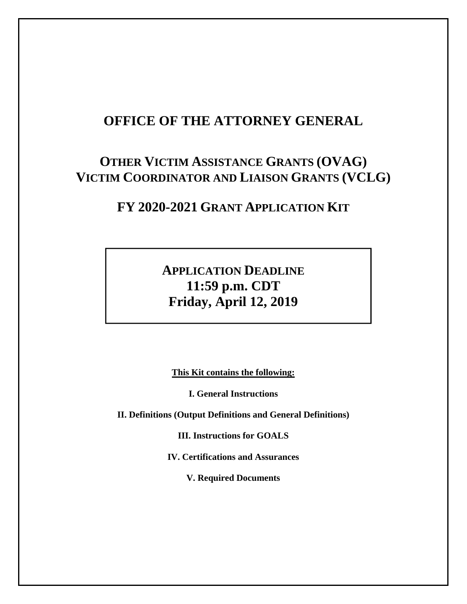# **OFFICE OF THE ATTORNEY GENERAL**

# **OTHER VICTIM ASSISTANCE GRANTS (OVAG) VICTIM COORDINATOR AND LIAISON GRANTS (VCLG)**

# **FY 2020-2021 GRANT APPLICATION KIT**

# **APPLICATION DEADLINE 11:59 p.m. CDT Friday, April 12, 2019**

**This Kit contains the following:** 

**I. General Instructions** 

**II. Definitions (Output Definitions and General Definitions)** 

**III. Instructions for GOALS** 

**IV. Certifications and Assurances** 

**V. Required Documents**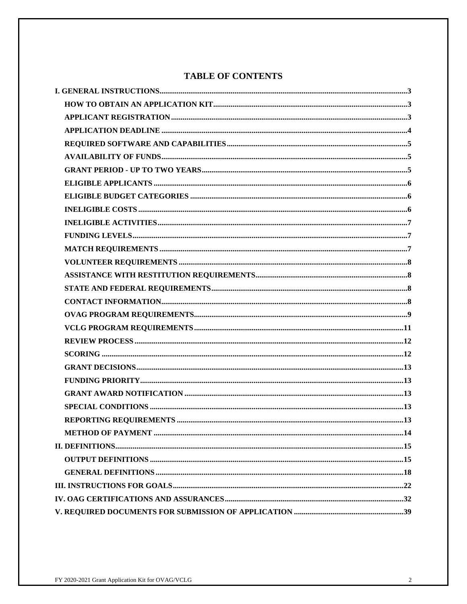## **TABLE OF CONTENTS**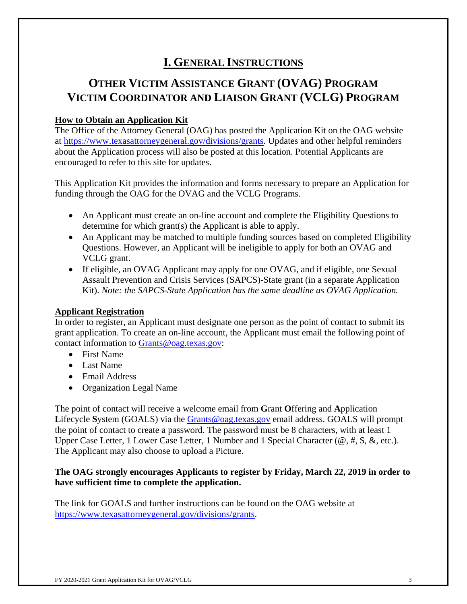# **I. GENERAL INSTRUCTIONS**

# **OTHER VICTIM ASSISTANCE GRANT (OVAG) PROGRAM VICTIM COORDINATOR AND LIAISON GRANT (VCLG) PROGRAM**

## **How to Obtain an Application Kit**

The Office of the Attorney General (OAG) has posted the Application Kit on the OAG website at https://www.texasattorneygeneral.gov/divisions/grants. Updates and other helpful reminders about the Application process will also be posted at this location. Potential Applicants are encouraged to refer to this site for updates.

This Application Kit provides the information and forms necessary to prepare an Application for funding through the OAG for the OVAG and the VCLG Programs.

- An Applicant must create an on-line account and complete the Eligibility Questions to determine for which grant(s) the Applicant is able to apply.
- An Applicant may be matched to multiple funding sources based on completed Eligibility Questions. However, an Applicant will be ineligible to apply for both an OVAG and VCLG grant.
- If eligible, an OVAG Applicant may apply for one OVAG, and if eligible, one Sexual Assault Prevention and Crisis Services (SAPCS)-State grant (in a separate Application Kit). *Note: the SAPCS-State Application has the same deadline as OVAG Application.*

## **Applicant Registration**

In order to register, an Applicant must designate one person as the point of contact to submit its grant application. To create an on-line account, the Applicant must email the following point of contact information to Grants@oag.texas.gov:

- First Name
- Last Name
- Email Address
- Organization Legal Name

The point of contact will receive a welcome email from **G**rant **O**ffering and **A**pplication Lifecycle System (GOALS) via the Grants@oag.texas.gov email address. GOALS will prompt the point of contact to create a password. The password must be 8 characters, with at least 1 Upper Case Letter, 1 Lower Case Letter, 1 Number and 1 Special Character ( $\omega$ , #, \$, &, etc.). The Applicant may also choose to upload a Picture.

## **The OAG strongly encourages Applicants to register by Friday, March 22, 2019 in order to have sufficient time to complete the application.**

The link for GOALS and further instructions can be found on the OAG website at https://www.texasattorneygeneral.gov/divisions/grants.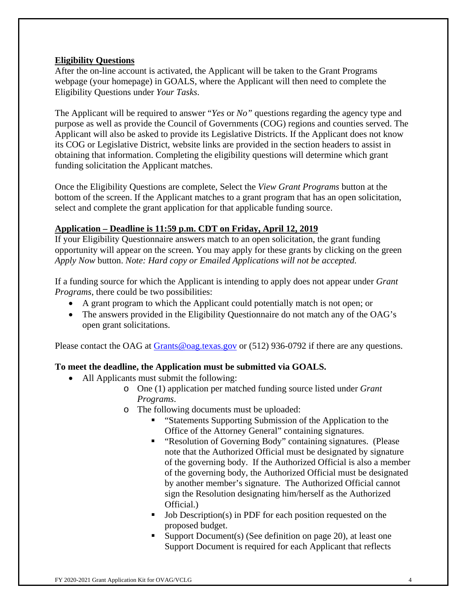### **Eligibility Questions**

After the on-line account is activated, the Applicant will be taken to the Grant Programs webpage (your homepage) in GOALS, where the Applicant will then need to complete the Eligibility Questions under *Your Tasks*.

The Applicant will be required to answer "*Yes* or *No"* questions regarding the agency type and purpose as well as provide the Council of Governments (COG) regions and counties served. The Applicant will also be asked to provide its Legislative Districts. If the Applicant does not know its COG or Legislative District, website links are provided in the section headers to assist in obtaining that information. Completing the eligibility questions will determine which grant funding solicitation the Applicant matches.

Once the Eligibility Questions are complete, Select the *View Grant Programs* button at the bottom of the screen. If the Applicant matches to a grant program that has an open solicitation, select and complete the grant application for that applicable funding source.

## **Application – Deadline is 11:59 p.m. CDT on Friday, April 12, 2019**

If your Eligibility Questionnaire answers match to an open solicitation, the grant funding opportunity will appear on the screen. You may apply for these grants by clicking on the green *Apply Now* button. *Note: Hard copy or Emailed Applications will not be accepted.*

If a funding source for which the Applicant is intending to apply does not appear under *Grant Programs*, there could be two possibilities:

- A grant program to which the Applicant could potentially match is not open; or
- The answers provided in the Eligibility Questionnaire do not match any of the OAG's open grant solicitations.

Please contact the OAG at Grants@oag.texas.gov or (512) 936-0792 if there are any questions.

## **To meet the deadline, the Application must be submitted via GOALS.**

- All Applicants must submit the following:
	- o One (1) application per matched funding source listed under *Grant Programs*.
	- o The following documents must be uploaded:
		- "Statements Supporting Submission of the Application to the Office of the Attorney General" containing signatures.
		- **EXECUTE:** "Resolution of Governing Body" containing signatures. (Please note that the Authorized Official must be designated by signature of the governing body. If the Authorized Official is also a member of the governing body, the Authorized Official must be designated by another member's signature. The Authorized Official cannot sign the Resolution designating him/herself as the Authorized Official.)
		- Job Description(s) in PDF for each position requested on the proposed budget.
		- Support Document(s) (See definition on page 20), at least one Support Document is required for each Applicant that reflects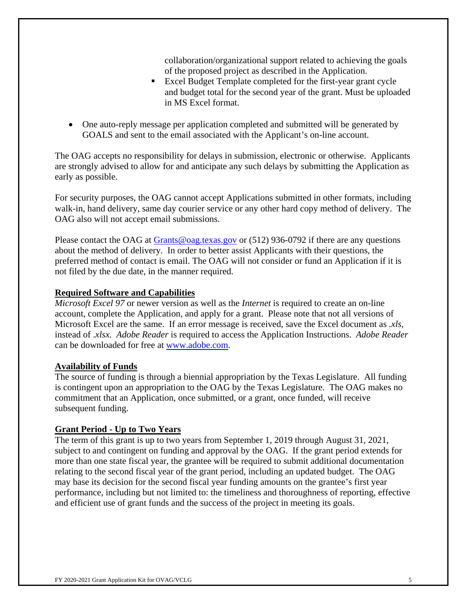collaboration/organizational support related to achieving the goals of the proposed project as described in the Application.

- Excel Budget Template completed for the first-year grant cycle and budget total for the second year of the grant. Must be uploaded in MS Excel format.
- One auto-reply message per application completed and submitted will be generated by GOALS and sent to the email associated with the Applicant's on-line account.

The OAG accepts no responsibility for delays in submission, electronic or otherwise. Applicants are strongly advised to allow for and anticipate any such delays by submitting the Application as early as possible.

For security purposes, the OAG cannot accept Applications submitted in other formats, including walk-in, hand delivery, same day courier service or any other hard copy method of delivery. The OAG also will not accept email submissions.

Please contact the OAG at Grants@oag.texas.gov or (512) 936-0792 if there are any questions about the method of delivery. In order to better assist Applicants with their questions, the preferred method of contact is email. The OAG will not consider or fund an Application if it is not filed by the due date, in the manner required.

### **Required Software and Capabilities**

*Microsoft Excel 97* or newer version as well as the *Internet* is required to create an on-line account, complete the Application, and apply for a grant. Please note that not all versions of Microsoft Excel are the same. If an error message is received, save the Excel document as *.xls*, instead of .*xlsx. Adobe Reader* is required to access the Application Instructions. *Adobe Reader*  can be downloaded for free at www.adobe.com.

### **Availability of Funds**

The source of funding is through a biennial appropriation by the Texas Legislature. All funding is contingent upon an appropriation to the OAG by the Texas Legislature. The OAG makes no commitment that an Application, once submitted, or a grant, once funded, will receive subsequent funding.

### **Grant Period - Up to Two Years**

The term of this grant is up to two years from September 1, 2019 through August 31, 2021, subject to and contingent on funding and approval by the OAG. If the grant period extends for more than one state fiscal year, the grantee will be required to submit additional documentation relating to the second fiscal year of the grant period, including an updated budget. The OAG may base its decision for the second fiscal year funding amounts on the grantee's first year performance, including but not limited to: the timeliness and thoroughness of reporting, effective and efficient use of grant funds and the success of the project in meeting its goals.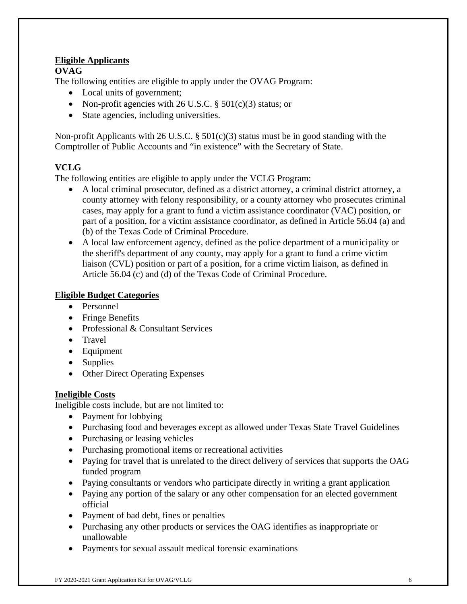## **Eligible Applicants**

### **OVAG**

The following entities are eligible to apply under the OVAG Program:

- Local units of government;
- Non-profit agencies with 26 U.S.C.  $\S 501(c)(3)$  status; or
- State agencies, including universities.

Non-profit Applicants with 26 U.S.C. § 501(c)(3) status must be in good standing with the Comptroller of Public Accounts and "in existence" with the Secretary of State.

## **VCLG**

The following entities are eligible to apply under the VCLG Program:

- A local criminal prosecutor, defined as a district attorney, a criminal district attorney, a county attorney with felony responsibility, or a county attorney who prosecutes criminal cases, may apply for a grant to fund a victim assistance coordinator (VAC) position, or part of a position, for a victim assistance coordinator, as defined in Article 56.04 (a) and (b) of the Texas Code of Criminal Procedure.
- A local law enforcement agency, defined as the police department of a municipality or the sheriff's department of any county, may apply for a grant to fund a crime victim liaison (CVL) position or part of a position, for a crime victim liaison, as defined in Article 56.04 (c) and (d) of the Texas Code of Criminal Procedure.

## **Eligible Budget Categories**

- Personnel
- Fringe Benefits
- Professional & Consultant Services
- Travel
- Equipment
- Supplies
- Other Direct Operating Expenses

## **Ineligible Costs**

Ineligible costs include, but are not limited to:

- Payment for lobbying
- Purchasing food and beverages except as allowed under Texas State Travel Guidelines
- Purchasing or leasing vehicles
- Purchasing promotional items or recreational activities
- Paying for travel that is unrelated to the direct delivery of services that supports the OAG funded program
- Paying consultants or vendors who participate directly in writing a grant application
- Paying any portion of the salary or any other compensation for an elected government official
- Payment of bad debt, fines or penalties
- Purchasing any other products or services the OAG identifies as inappropriate or unallowable
- Payments for sexual assault medical forensic examinations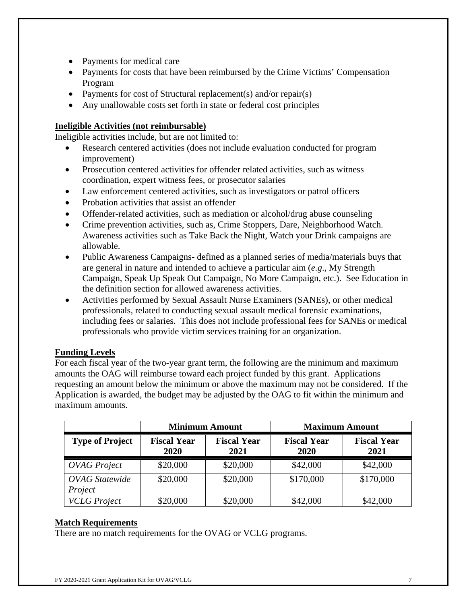- Payments for medical care
- Payments for costs that have been reimbursed by the Crime Victims' Compensation Program
- Payments for cost of Structural replacement(s) and/or repair(s)
- Any unallowable costs set forth in state or federal cost principles

### **Ineligible Activities (not reimbursable)**

Ineligible activities include, but are not limited to:

- Research centered activities (does not include evaluation conducted for program improvement)
- Prosecution centered activities for offender related activities, such as witness coordination, expert witness fees, or prosecutor salaries
- Law enforcement centered activities, such as investigators or patrol officers
- Probation activities that assist an offender
- Offender-related activities, such as mediation or alcohol/drug abuse counseling
- Crime prevention activities, such as, Crime Stoppers, Dare, Neighborhood Watch. Awareness activities such as Take Back the Night, Watch your Drink campaigns are allowable.
- Public Awareness Campaigns- defined as a planned series of media/materials buys that are general in nature and intended to achieve a particular aim (*e.g*., My Strength Campaign, Speak Up Speak Out Campaign, No More Campaign, etc.). See Education in the definition section for allowed awareness activities.
- Activities performed by Sexual Assault Nurse Examiners (SANEs), or other medical professionals, related to conducting sexual assault medical forensic examinations, including fees or salaries. This does not include professional fees for SANEs or medical professionals who provide victim services training for an organization.

## **Funding Levels**

For each fiscal year of the two-year grant term, the following are the minimum and maximum amounts the OAG will reimburse toward each project funded by this grant. Applications requesting an amount below the minimum or above the maximum may not be considered. If the Application is awarded, the budget may be adjusted by the OAG to fit within the minimum and maximum amounts.

|                                  | <b>Minimum Amount</b>      |                            | <b>Maximum Amount</b>      |                            |
|----------------------------------|----------------------------|----------------------------|----------------------------|----------------------------|
| <b>Type of Project</b>           | <b>Fiscal Year</b><br>2020 | <b>Fiscal Year</b><br>2021 | <b>Fiscal Year</b><br>2020 | <b>Fiscal Year</b><br>2021 |
| <b>OVAG</b> Project              | \$20,000                   | \$20,000                   | \$42,000                   | \$42,000                   |
| <b>OVAG</b> Statewide<br>Project | \$20,000                   | \$20,000                   | \$170,000                  | \$170,000                  |
| <b>VCLG</b> Project              | \$20,000                   | \$20,000                   | \$42,000                   | \$42,000                   |

### **Match Requirements**

There are no match requirements for the OVAG or VCLG programs.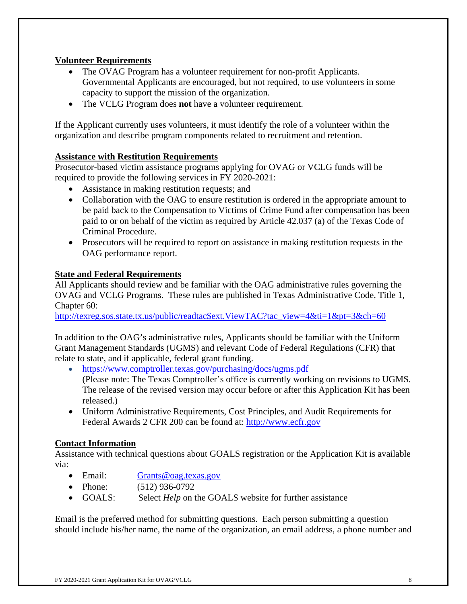## **Volunteer Requirements**

- The OVAG Program has a volunteer requirement for non-profit Applicants. Governmental Applicants are encouraged, but not required, to use volunteers in some capacity to support the mission of the organization.
- The VCLG Program does **not** have a volunteer requirement.

If the Applicant currently uses volunteers, it must identify the role of a volunteer within the organization and describe program components related to recruitment and retention.

### **Assistance with Restitution Requirements**

Prosecutor-based victim assistance programs applying for OVAG or VCLG funds will be required to provide the following services in FY 2020-2021:

- Assistance in making restitution requests; and
- Collaboration with the OAG to ensure restitution is ordered in the appropriate amount to be paid back to the Compensation to Victims of Crime Fund after compensation has been paid to or on behalf of the victim as required by Article 42.037 (a) of the Texas Code of Criminal Procedure.
- Prosecutors will be required to report on assistance in making restitution requests in the OAG performance report.

### **State and Federal Requirements**

All Applicants should review and be familiar with the OAG administrative rules governing the OVAG and VCLG Programs. These rules are published in Texas Administrative Code, Title 1, Chapter 60:

http://texreg.sos.state.tx.us/public/readtac\$ext.ViewTAC?tac\_view=4&ti=1&pt=3&ch=60

In addition to the OAG's administrative rules, Applicants should be familiar with the Uniform Grant Management Standards (UGMS) and relevant Code of Federal Regulations (CFR) that relate to state, and if applicable, federal grant funding.

https://www.comptroller.texas.gov/purchasing/docs/ugms.pdf

(Please note: The Texas Comptroller's office is currently working on revisions to UGMS. The release of the revised version may occur before or after this Application Kit has been released.)

 Uniform Administrative Requirements, Cost Principles, and Audit Requirements for Federal Awards 2 CFR 200 can be found at: http://www.ecfr.gov

## **Contact Information**

Assistance with technical questions about GOALS registration or the Application Kit is available via:

- Email: Grants@oag.texas.gov
- Phone: (512) 936-0792
- GOALS: Select *Help* on the GOALS website for further assistance

Email is the preferred method for submitting questions. Each person submitting a question should include his/her name, the name of the organization, an email address, a phone number and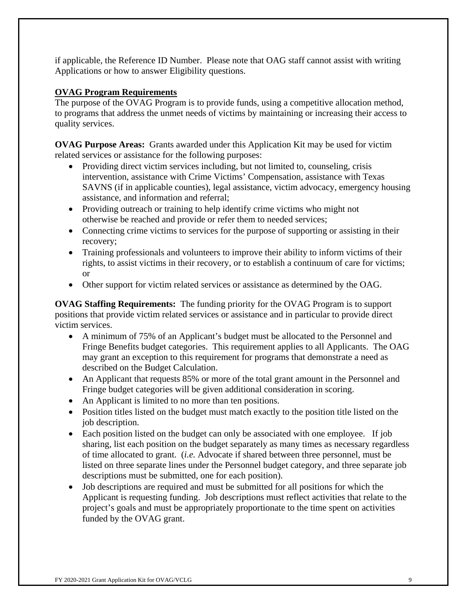if applicable, the Reference ID Number. Please note that OAG staff cannot assist with writing Applications or how to answer Eligibility questions.

## **OVAG Program Requirements**

The purpose of the OVAG Program is to provide funds, using a competitive allocation method, to programs that address the unmet needs of victims by maintaining or increasing their access to quality services.

**OVAG Purpose Areas:** Grants awarded under this Application Kit may be used for victim related services or assistance for the following purposes:

- Providing direct victim services including, but not limited to, counseling, crisis intervention, assistance with Crime Victims' Compensation, assistance with Texas SAVNS (if in applicable counties), legal assistance, victim advocacy, emergency housing assistance, and information and referral;
- Providing outreach or training to help identify crime victims who might not otherwise be reached and provide or refer them to needed services;
- Connecting crime victims to services for the purpose of supporting or assisting in their recovery;
- Training professionals and volunteers to improve their ability to inform victims of their rights, to assist victims in their recovery, or to establish a continuum of care for victims; or
- Other support for victim related services or assistance as determined by the OAG.

**OVAG Staffing Requirements:** The funding priority for the OVAG Program is to support positions that provide victim related services or assistance and in particular to provide direct victim services.

- A minimum of 75% of an Applicant's budget must be allocated to the Personnel and Fringe Benefits budget categories. This requirement applies to all Applicants. The OAG may grant an exception to this requirement for programs that demonstrate a need as described on the Budget Calculation.
- An Applicant that requests 85% or more of the total grant amount in the Personnel and Fringe budget categories will be given additional consideration in scoring.
- An Applicant is limited to no more than ten positions.
- Position titles listed on the budget must match exactly to the position title listed on the job description.
- Each position listed on the budget can only be associated with one employee. If job sharing, list each position on the budget separately as many times as necessary regardless of time allocated to grant. (*i.e.* Advocate if shared between three personnel, must be listed on three separate lines under the Personnel budget category, and three separate job descriptions must be submitted, one for each position).
- Job descriptions are required and must be submitted for all positions for which the Applicant is requesting funding. Job descriptions must reflect activities that relate to the project's goals and must be appropriately proportionate to the time spent on activities funded by the OVAG grant.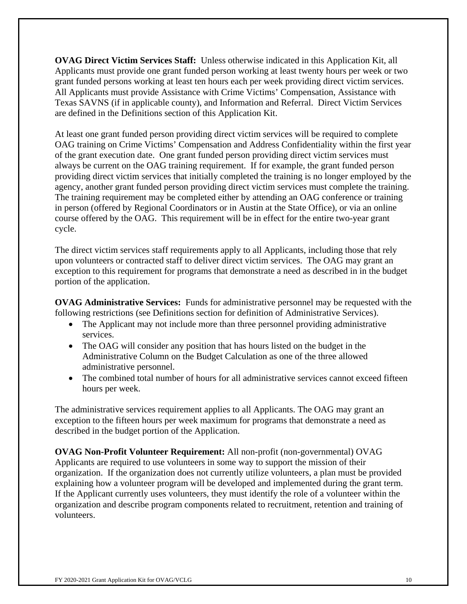**OVAG Direct Victim Services Staff:** Unless otherwise indicated in this Application Kit, all Applicants must provide one grant funded person working at least twenty hours per week or two grant funded persons working at least ten hours each per week providing direct victim services. All Applicants must provide Assistance with Crime Victims' Compensation, Assistance with Texas SAVNS (if in applicable county), and Information and Referral. Direct Victim Services are defined in the Definitions section of this Application Kit.

At least one grant funded person providing direct victim services will be required to complete OAG training on Crime Victims' Compensation and Address Confidentiality within the first year of the grant execution date. One grant funded person providing direct victim services must always be current on the OAG training requirement. If for example, the grant funded person providing direct victim services that initially completed the training is no longer employed by the agency, another grant funded person providing direct victim services must complete the training. The training requirement may be completed either by attending an OAG conference or training in person (offered by Regional Coordinators or in Austin at the State Office), or via an online course offered by the OAG. This requirement will be in effect for the entire two-year grant cycle.

The direct victim services staff requirements apply to all Applicants, including those that rely upon volunteers or contracted staff to deliver direct victim services. The OAG may grant an exception to this requirement for programs that demonstrate a need as described in in the budget portion of the application.

**OVAG Administrative Services:** Funds for administrative personnel may be requested with the following restrictions (see Definitions section for definition of Administrative Services).

- The Applicant may not include more than three personnel providing administrative services.
- The OAG will consider any position that has hours listed on the budget in the Administrative Column on the Budget Calculation as one of the three allowed administrative personnel.
- The combined total number of hours for all administrative services cannot exceed fifteen hours per week.

The administrative services requirement applies to all Applicants. The OAG may grant an exception to the fifteen hours per week maximum for programs that demonstrate a need as described in the budget portion of the Application.

**OVAG Non-Profit Volunteer Requirement:** All non-profit (non-governmental) OVAG Applicants are required to use volunteers in some way to support the mission of their organization. If the organization does not currently utilize volunteers, a plan must be provided explaining how a volunteer program will be developed and implemented during the grant term. If the Applicant currently uses volunteers, they must identify the role of a volunteer within the organization and describe program components related to recruitment, retention and training of volunteers.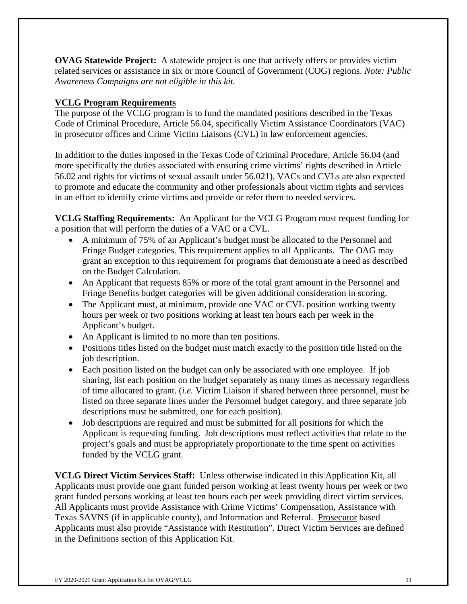**OVAG Statewide Project:** A statewide project is one that actively offers or provides victim related services or assistance in six or more Council of Government (COG) regions. *Note: Public Awareness Campaigns are not eligible in this kit.* 

## **VCLG Program Requirements**

The purpose of the VCLG program is to fund the mandated positions described in the Texas Code of Criminal Procedure, Article 56.04, specifically Victim Assistance Coordinators (VAC) in prosecutor offices and Crime Victim Liaisons (CVL) in law enforcement agencies.

In addition to the duties imposed in the Texas Code of Criminal Procedure, Article 56.04 (and more specifically the duties associated with ensuring crime victims' rights described in Article 56.02 and rights for victims of sexual assault under 56.021), VACs and CVLs are also expected to promote and educate the community and other professionals about victim rights and services in an effort to identify crime victims and provide or refer them to needed services.

**VCLG Staffing Requirements:** An Applicant for the VCLG Program must request funding for a position that will perform the duties of a VAC or a CVL.

- A minimum of 75% of an Applicant's budget must be allocated to the Personnel and Fringe Budget categories. This requirement applies to all Applicants. The OAG may grant an exception to this requirement for programs that demonstrate a need as described on the Budget Calculation.
- An Applicant that requests 85% or more of the total grant amount in the Personnel and Fringe Benefits budget categories will be given additional consideration in scoring.
- The Applicant must, at minimum, provide one VAC or CVL position working twenty hours per week or two positions working at least ten hours each per week in the Applicant's budget.
- An Applicant is limited to no more than ten positions.
- Positions titles listed on the budget must match exactly to the position title listed on the job description.
- Each position listed on the budget can only be associated with one employee. If job sharing, list each position on the budget separately as many times as necessary regardless of time allocated to grant. (*i.e.* Victim Liaison if shared between three personnel, must be listed on three separate lines under the Personnel budget category, and three separate job descriptions must be submitted, one for each position).
- Job descriptions are required and must be submitted for all positions for which the Applicant is requesting funding. Job descriptions must reflect activities that relate to the project's goals and must be appropriately proportionate to the time spent on activities funded by the VCLG grant.

**VCLG Direct Victim Services Staff:** Unless otherwise indicated in this Application Kit, all Applicants must provide one grant funded person working at least twenty hours per week or two grant funded persons working at least ten hours each per week providing direct victim services. All Applicants must provide Assistance with Crime Victims' Compensation, Assistance with Texas SAVNS (if in applicable county), and Information and Referral. Prosecutor based Applicants must also provide "Assistance with Restitution". Direct Victim Services are defined in the Definitions section of this Application Kit.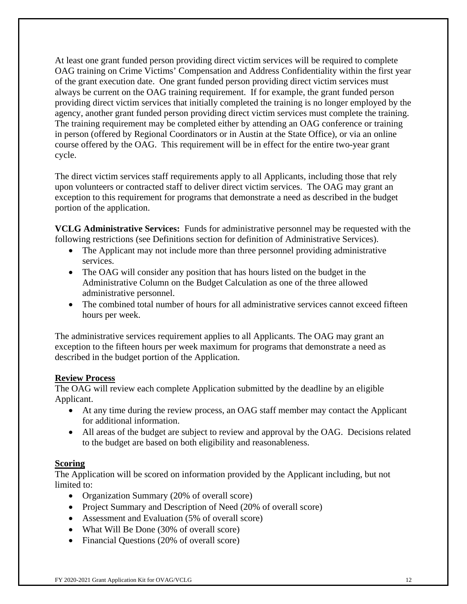At least one grant funded person providing direct victim services will be required to complete OAG training on Crime Victims' Compensation and Address Confidentiality within the first year of the grant execution date. One grant funded person providing direct victim services must always be current on the OAG training requirement. If for example, the grant funded person providing direct victim services that initially completed the training is no longer employed by the agency, another grant funded person providing direct victim services must complete the training. The training requirement may be completed either by attending an OAG conference or training in person (offered by Regional Coordinators or in Austin at the State Office), or via an online course offered by the OAG. This requirement will be in effect for the entire two-year grant cycle.

The direct victim services staff requirements apply to all Applicants, including those that rely upon volunteers or contracted staff to deliver direct victim services. The OAG may grant an exception to this requirement for programs that demonstrate a need as described in the budget portion of the application.

**VCLG Administrative Services:** Funds for administrative personnel may be requested with the following restrictions (see Definitions section for definition of Administrative Services).

- The Applicant may not include more than three personnel providing administrative services.
- The OAG will consider any position that has hours listed on the budget in the Administrative Column on the Budget Calculation as one of the three allowed administrative personnel.
- The combined total number of hours for all administrative services cannot exceed fifteen hours per week.

The administrative services requirement applies to all Applicants. The OAG may grant an exception to the fifteen hours per week maximum for programs that demonstrate a need as described in the budget portion of the Application.

## **Review Process**

The OAG will review each complete Application submitted by the deadline by an eligible Applicant.

- At any time during the review process, an OAG staff member may contact the Applicant for additional information.
- All areas of the budget are subject to review and approval by the OAG. Decisions related to the budget are based on both eligibility and reasonableness.

### **Scoring**

The Application will be scored on information provided by the Applicant including, but not limited to:

- Organization Summary (20% of overall score)
- Project Summary and Description of Need (20% of overall score)
- Assessment and Evaluation (5% of overall score)
- What Will Be Done (30% of overall score)
- Financial Questions (20% of overall score)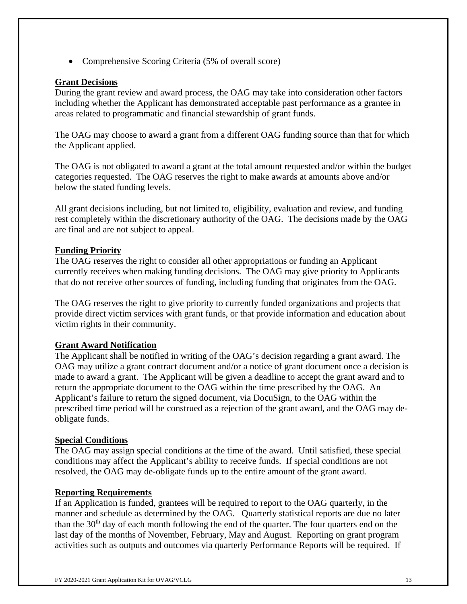• Comprehensive Scoring Criteria (5% of overall score)

### **Grant Decisions**

During the grant review and award process, the OAG may take into consideration other factors including whether the Applicant has demonstrated acceptable past performance as a grantee in areas related to programmatic and financial stewardship of grant funds.

The OAG may choose to award a grant from a different OAG funding source than that for which the Applicant applied.

The OAG is not obligated to award a grant at the total amount requested and/or within the budget categories requested. The OAG reserves the right to make awards at amounts above and/or below the stated funding levels.

All grant decisions including, but not limited to, eligibility, evaluation and review, and funding rest completely within the discretionary authority of the OAG. The decisions made by the OAG are final and are not subject to appeal.

### **Funding Priority**

The OAG reserves the right to consider all other appropriations or funding an Applicant currently receives when making funding decisions. The OAG may give priority to Applicants that do not receive other sources of funding, including funding that originates from the OAG.

The OAG reserves the right to give priority to currently funded organizations and projects that provide direct victim services with grant funds, or that provide information and education about victim rights in their community.

### **Grant Award Notification**

The Applicant shall be notified in writing of the OAG's decision regarding a grant award. The OAG may utilize a grant contract document and/or a notice of grant document once a decision is made to award a grant. The Applicant will be given a deadline to accept the grant award and to return the appropriate document to the OAG within the time prescribed by the OAG. An Applicant's failure to return the signed document, via DocuSign, to the OAG within the prescribed time period will be construed as a rejection of the grant award, and the OAG may deobligate funds.

### **Special Conditions**

The OAG may assign special conditions at the time of the award. Until satisfied, these special conditions may affect the Applicant's ability to receive funds. If special conditions are not resolved, the OAG may de-obligate funds up to the entire amount of the grant award.

### **Reporting Requirements**

If an Application is funded, grantees will be required to report to the OAG quarterly, in the manner and schedule as determined by the OAG. Quarterly statistical reports are due no later than the  $30<sup>th</sup>$  day of each month following the end of the quarter. The four quarters end on the last day of the months of November, February, May and August. Reporting on grant program activities such as outputs and outcomes via quarterly Performance Reports will be required. If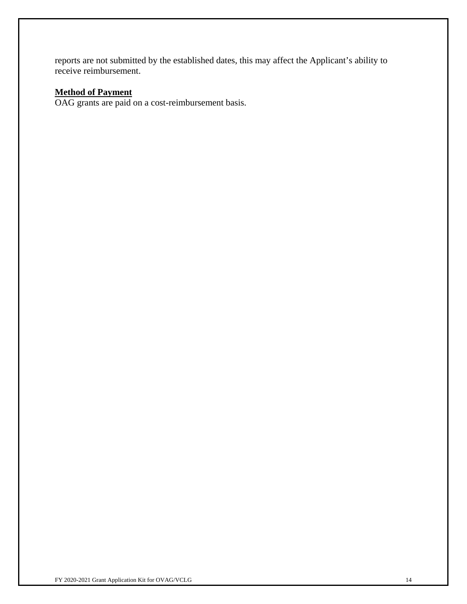reports are not submitted by the established dates, this may affect the Applicant's ability to receive reimbursement.

## **Method of Payment**

OAG grants are paid on a cost-reimbursement basis.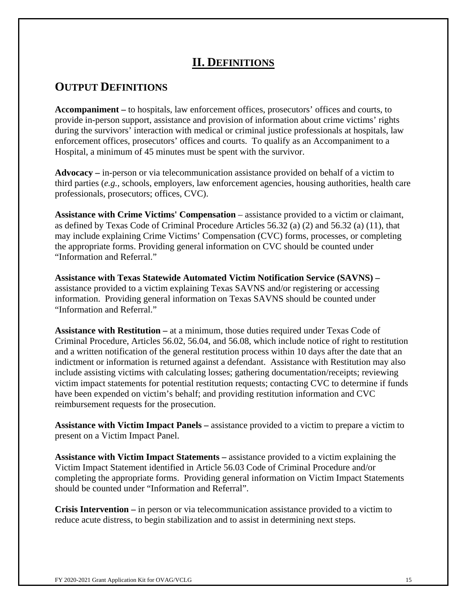## **II. DEFINITIONS**

## **OUTPUT DEFINITIONS**

**Accompaniment –** to hospitals, law enforcement offices, prosecutors' offices and courts, to provide in-person support, assistance and provision of information about crime victims' rights during the survivors' interaction with medical or criminal justice professionals at hospitals, law enforcement offices, prosecutors' offices and courts. To qualify as an Accompaniment to a Hospital, a minimum of 45 minutes must be spent with the survivor.

**Advocacy –** in-person or via telecommunication assistance provided on behalf of a victim to third parties (*e.g.,* schools, employers, law enforcement agencies, housing authorities, health care professionals, prosecutors; offices, CVC).

**Assistance with Crime Victims' Compensation** – assistance provided to a victim or claimant, as defined by Texas Code of Criminal Procedure Articles 56.32 (a) (2) and 56.32 (a) (11), that may include explaining Crime Victims' Compensation (CVC) forms, processes, or completing the appropriate forms. Providing general information on CVC should be counted under "Information and Referral."

**Assistance with Texas Statewide Automated Victim Notification Service (SAVNS) –**  assistance provided to a victim explaining Texas SAVNS and/or registering or accessing information. Providing general information on Texas SAVNS should be counted under "Information and Referral."

**Assistance with Restitution –** at a minimum, those duties required under Texas Code of Criminal Procedure, Articles 56.02, 56.04, and 56.08, which include notice of right to restitution and a written notification of the general restitution process within 10 days after the date that an indictment or information is returned against a defendant. Assistance with Restitution may also include assisting victims with calculating losses; gathering documentation/receipts; reviewing victim impact statements for potential restitution requests; contacting CVC to determine if funds have been expended on victim's behalf; and providing restitution information and CVC reimbursement requests for the prosecution.

**Assistance with Victim Impact Panels –** assistance provided to a victim to prepare a victim to present on a Victim Impact Panel.

**Assistance with Victim Impact Statements –** assistance provided to a victim explaining the Victim Impact Statement identified in Article 56.03 Code of Criminal Procedure and/or completing the appropriate forms. Providing general information on Victim Impact Statements should be counted under "Information and Referral".

**Crisis Intervention –** in person or via telecommunication assistance provided to a victim to reduce acute distress, to begin stabilization and to assist in determining next steps.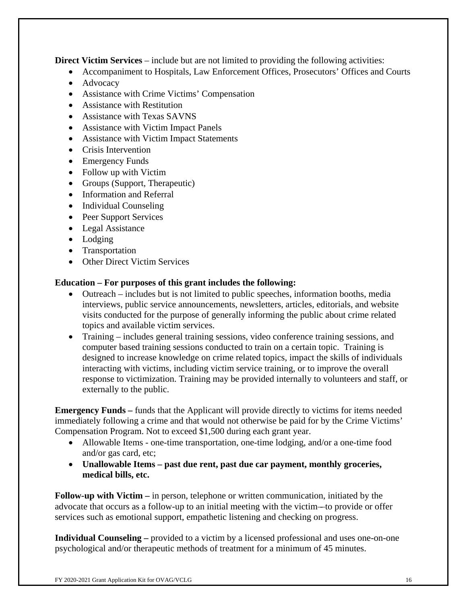**Direct Victim Services** – include but are not limited to providing the following activities:

- Accompaniment to Hospitals, Law Enforcement Offices, Prosecutors' Offices and Courts
- Advocacy
- Assistance with Crime Victims' Compensation
- Assistance with Restitution
- Assistance with Texas SAVNS
- Assistance with Victim Impact Panels
- Assistance with Victim Impact Statements
- Crisis Intervention
- Emergency Funds
- Follow up with Victim
- Groups (Support, Therapeutic)
- Information and Referral
- Individual Counseling
- Peer Support Services
- Legal Assistance
- Lodging
- Transportation
- Other Direct Victim Services

### **Education – For purposes of this grant includes the following:**

- Outreach includes but is not limited to public speeches, information booths, media interviews, public service announcements, newsletters, articles, editorials, and website visits conducted for the purpose of generally informing the public about crime related topics and available victim services.
- Training includes general training sessions, video conference training sessions, and computer based training sessions conducted to train on a certain topic. Training is designed to increase knowledge on crime related topics, impact the skills of individuals interacting with victims, including victim service training, or to improve the overall response to victimization. Training may be provided internally to volunteers and staff, or externally to the public.

**Emergency Funds** – funds that the Applicant will provide directly to victims for items needed immediately following a crime and that would not otherwise be paid for by the Crime Victims' Compensation Program. Not to exceed \$1,500 during each grant year.

- Allowable Items one-time transportation, one-time lodging, and/or a one-time food and/or gas card, etc;
- **Unallowable Items past due rent, past due car payment, monthly groceries, medical bills, etc.**

**Follow-up with Victim** – in person, telephone or written communication, initiated by the advocate that occurs as a follow-up to an initial meeting with the victim - to provide or offer services such as emotional support, empathetic listening and checking on progress.

**Individual Counseling –** provided to a victim by a licensed professional and uses one-on-one psychological and/or therapeutic methods of treatment for a minimum of 45 minutes.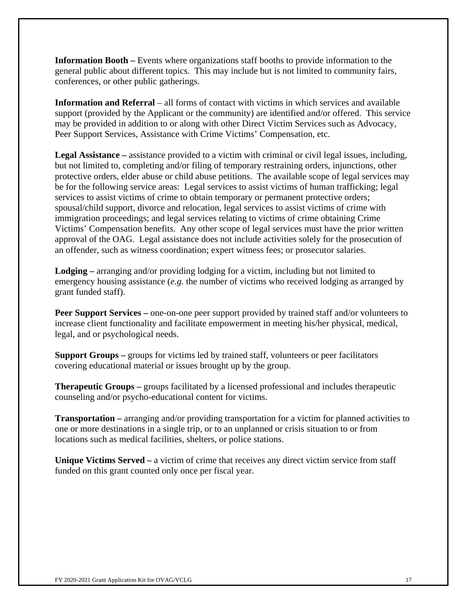**Information Booth –** Events where organizations staff booths to provide information to the general public about different topics. This may include but is not limited to community fairs, conferences, or other public gatherings.

**Information and Referral** – all forms of contact with victims in which services and available support (provided by the Applicant or the community) are identified and/or offered. This service may be provided in addition to or along with other Direct Victim Services such as Advocacy, Peer Support Services, Assistance with Crime Victims' Compensation, etc.

**Legal Assistance –** assistance provided to a victim with criminal or civil legal issues, including, but not limited to, completing and/or filing of temporary restraining orders, injunctions, other protective orders, elder abuse or child abuse petitions. The available scope of legal services may be for the following service areas: Legal services to assist victims of human trafficking; legal services to assist victims of crime to obtain temporary or permanent protective orders; spousal/child support, divorce and relocation, legal services to assist victims of crime with immigration proceedings; and legal services relating to victims of crime obtaining Crime Victims' Compensation benefits. Any other scope of legal services must have the prior written approval of the OAG. Legal assistance does not include activities solely for the prosecution of an offender, such as witness coordination; expert witness fees; or prosecutor salaries.

**Lodging –** arranging and/or providing lodging for a victim, including but not limited to emergency housing assistance (*e.g.* the number of victims who received lodging as arranged by grant funded staff).

**Peer Support Services** – one-on-one peer support provided by trained staff and/or volunteers to increase client functionality and facilitate empowerment in meeting his/her physical, medical, legal, and or psychological needs.

**Support Groups –** groups for victims led by trained staff, volunteers or peer facilitators covering educational material or issues brought up by the group.

**Therapeutic Groups –** groups facilitated by a licensed professional and includes therapeutic counseling and/or psycho-educational content for victims.

**Transportation –** arranging and/or providing transportation for a victim for planned activities to one or more destinations in a single trip, or to an unplanned or crisis situation to or from locations such as medical facilities, shelters, or police stations.

Unique Victims Served – a victim of crime that receives any direct victim service from staff funded on this grant counted only once per fiscal year.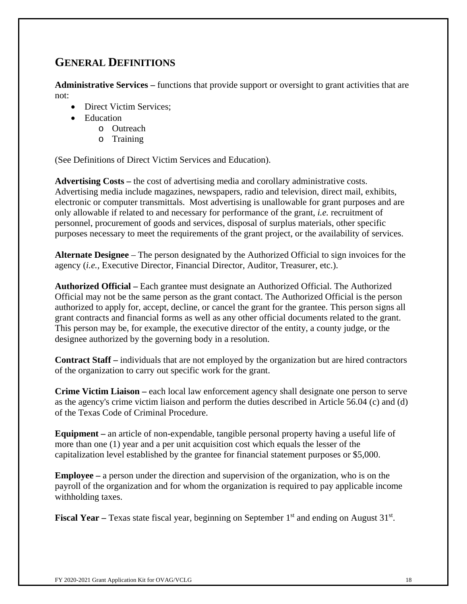# **GENERAL DEFINITIONS**

**Administrative Services –** functions that provide support or oversight to grant activities that are not:

- Direct Victim Services:
- Education
	- o Outreach
	- o Training

(See Definitions of Direct Victim Services and Education).

**Advertising Costs –** the cost of advertising media and corollary administrative costs. Advertising media include magazines, newspapers, radio and television, direct mail, exhibits, electronic or computer transmittals. Most advertising is unallowable for grant purposes and are only allowable if related to and necessary for performance of the grant, *i.e.* recruitment of personnel, procurement of goods and services, disposal of surplus materials, other specific purposes necessary to meet the requirements of the grant project, or the availability of services.

**Alternate Designee** – The person designated by the Authorized Official to sign invoices for the agency (*i.e.,* Executive Director, Financial Director, Auditor, Treasurer, etc.).

**Authorized Official –** Each grantee must designate an Authorized Official. The Authorized Official may not be the same person as the grant contact. The Authorized Official is the person authorized to apply for, accept, decline, or cancel the grant for the grantee. This person signs all grant contracts and financial forms as well as any other official documents related to the grant. This person may be, for example, the executive director of the entity, a county judge, or the designee authorized by the governing body in a resolution.

**Contract Staff –** individuals that are not employed by the organization but are hired contractors of the organization to carry out specific work for the grant.

**Crime Victim Liaison –** each local law enforcement agency shall designate one person to serve as the agency's crime victim liaison and perform the duties described in Article 56.04 (c) and (d) of the Texas Code of Criminal Procedure.

**Equipment –** an article of non-expendable, tangible personal property having a useful life of more than one (1) year and a per unit acquisition cost which equals the lesser of the capitalization level established by the grantee for financial statement purposes or \$5,000.

**Employee –** a person under the direction and supervision of the organization, who is on the payroll of the organization and for whom the organization is required to pay applicable income withholding taxes.

**Fiscal Year** – Texas state fiscal year, beginning on September 1<sup>st</sup> and ending on August 31<sup>st</sup>.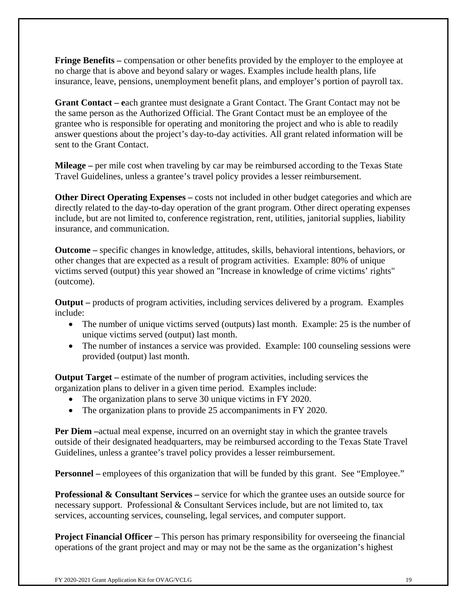**Fringe Benefits** – compensation or other benefits provided by the employer to the employee at no charge that is above and beyond salary or wages. Examples include health plans, life insurance, leave, pensions, unemployment benefit plans, and employer's portion of payroll tax.

**Grant Contact – e**ach grantee must designate a Grant Contact. The Grant Contact may not be the same person as the Authorized Official. The Grant Contact must be an employee of the grantee who is responsible for operating and monitoring the project and who is able to readily answer questions about the project's day-to-day activities. All grant related information will be sent to the Grant Contact.

**Mileage –** per mile cost when traveling by car may be reimbursed according to the Texas State Travel Guidelines, unless a grantee's travel policy provides a lesser reimbursement.

**Other Direct Operating Expenses** – costs not included in other budget categories and which are directly related to the day-to-day operation of the grant program. Other direct operating expenses include, but are not limited to, conference registration, rent, utilities, janitorial supplies, liability insurance, and communication.

**Outcome –** specific changes in knowledge, attitudes, skills, behavioral intentions, behaviors, or other changes that are expected as a result of program activities.Example: 80% of unique victims served (output) this year showed an "Increase in knowledge of crime victims' rights" (outcome).

**Output** – products of program activities, including services delivered by a program. Examples include:

- The number of unique victims served (outputs) last month. Example: 25 is the number of unique victims served (output) last month.
- The number of instances a service was provided. Example: 100 counseling sessions were provided (output) last month.

**Output Target** – estimate of the number of program activities, including services the organization plans to deliver in a given time period. Examples include:

- The organization plans to serve 30 unique victims in FY 2020.
- The organization plans to provide 25 accompaniments in FY 2020.

**Per Diem –**actual meal expense, incurred on an overnight stay in which the grantee travels outside of their designated headquarters, may be reimbursed according to the Texas State Travel Guidelines, unless a grantee's travel policy provides a lesser reimbursement.

**Personnel** – employees of this organization that will be funded by this grant. See "Employee."

**Professional & Consultant Services –** service for which the grantee uses an outside source for necessary support. Professional & Consultant Services include, but are not limited to, tax services, accounting services, counseling, legal services, and computer support.

**Project Financial Officer** – This person has primary responsibility for overseeing the financial operations of the grant project and may or may not be the same as the organization's highest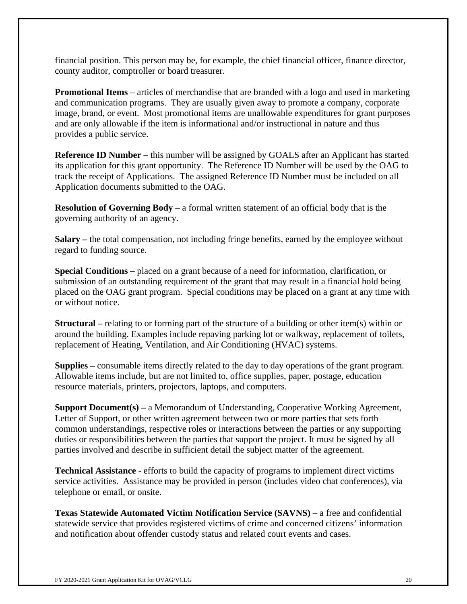financial position. This person may be, for example, the chief financial officer, finance director, county auditor, comptroller or board treasurer.

**Promotional Items** – articles of merchandise that are branded with a logo and used in marketing and communication programs. They are usually given away to promote a company, corporate image, brand, or event. Most promotional items are unallowable expenditures for grant purposes and are only allowable if the item is informational and/or instructional in nature and thus provides a public service.

**Reference ID Number – this number will be assigned by GOALS after an Applicant has started** its application for this grant opportunity. The Reference ID Number will be used by the OAG to track the receipt of Applications. The assigned Reference ID Number must be included on all Application documents submitted to the OAG.

**Resolution of Governing Body** – a formal written statement of an official body that is the governing authority of an agency.

**Salary** – the total compensation, not including fringe benefits, earned by the employee without regard to funding source.

**Special Conditions –** placed on a grant because of a need for information, clarification, or submission of an outstanding requirement of the grant that may result in a financial hold being placed on the OAG grant program. Special conditions may be placed on a grant at any time with or without notice.

**Structural** – relating to or forming part of the structure of a building or other item(s) within or around the building. Examples include repaving parking lot or walkway, replacement of toilets, replacement of Heating, Ventilation, and Air Conditioning (HVAC) systems.

**Supplies –** consumable items directly related to the day to day operations of the grant program. Allowable items include, but are not limited to, office supplies, paper, postage, education resource materials, printers, projectors, laptops, and computers.

**Support Document(s) –** a Memorandum of Understanding, Cooperative Working Agreement, Letter of Support, or other written agreement between two or more parties that sets forth common understandings, respective roles or interactions between the parties or any supporting duties or responsibilities between the parties that support the project. It must be signed by all parties involved and describe in sufficient detail the subject matter of the agreement.

**Technical Assistance** - efforts to build the capacity of programs to implement direct victims service activities. Assistance may be provided in person (includes video chat conferences), via telephone or email, or onsite.

**Texas Statewide Automated Victim Notification Service (SAVNS)** – a free and confidential statewide service that provides registered victims of crime and concerned citizens' information and notification about offender custody status and related court events and cases.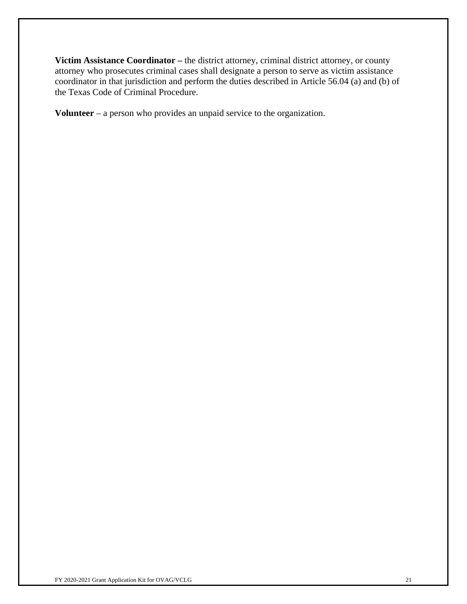**Victim Assistance Coordinator –** the district attorney, criminal district attorney, or county attorney who prosecutes criminal cases shall designate a person to serve as victim assistance coordinator in that jurisdiction and perform the duties described in Article 56.04 (a) and (b) of the Texas Code of Criminal Procedure.

**Volunteer** – a person who provides an unpaid service to the organization.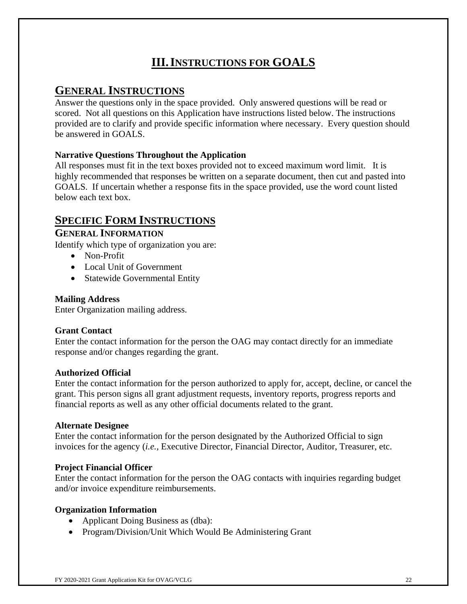# **III.INSTRUCTIONS FOR GOALS**

## **GENERAL INSTRUCTIONS**

Answer the questions only in the space provided. Only answered questions will be read or scored. Not all questions on this Application have instructions listed below. The instructions provided are to clarify and provide specific information where necessary. Every question should be answered in GOALS.

## **Narrative Questions Throughout the Application**

All responses must fit in the text boxes provided not to exceed maximum word limit. It is highly recommended that responses be written on a separate document, then cut and pasted into GOALS. If uncertain whether a response fits in the space provided, use the word count listed below each text box.

## **SPECIFIC FORM INSTRUCTIONS**

## **GENERAL INFORMATION**

Identify which type of organization you are:

- Non-Profit
- Local Unit of Government
- Statewide Governmental Entity

## **Mailing Address**

Enter Organization mailing address.

## **Grant Contact**

Enter the contact information for the person the OAG may contact directly for an immediate response and/or changes regarding the grant.

## **Authorized Official**

Enter the contact information for the person authorized to apply for, accept, decline, or cancel the grant. This person signs all grant adjustment requests, inventory reports, progress reports and financial reports as well as any other official documents related to the grant.

## **Alternate Designee**

Enter the contact information for the person designated by the Authorized Official to sign invoices for the agency (*i.e.,* Executive Director, Financial Director, Auditor, Treasurer, etc.

## **Project Financial Officer**

Enter the contact information for the person the OAG contacts with inquiries regarding budget and/or invoice expenditure reimbursements.

## **Organization Information**

- Applicant Doing Business as (dba):
- Program/Division/Unit Which Would Be Administering Grant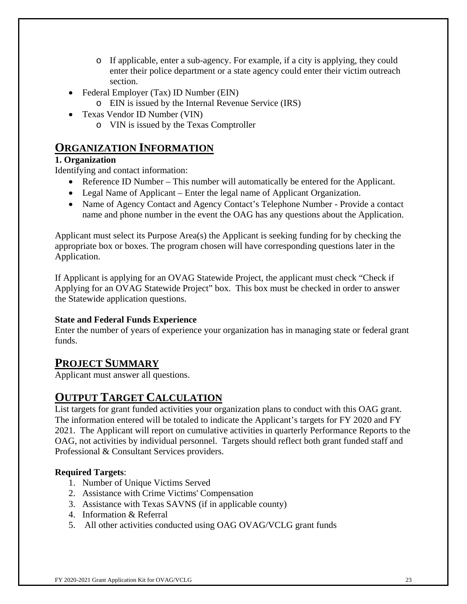- o If applicable, enter a sub-agency. For example, if a city is applying, they could enter their police department or a state agency could enter their victim outreach section.
- Federal Employer (Tax) ID Number (EIN)
	- o EIN is issued by the Internal Revenue Service (IRS)
- Texas Vendor ID Number (VIN)
	- o VIN is issued by the Texas Comptroller

## **ORGANIZATION INFORMATION**

## **1. Organization**

Identifying and contact information:

- Reference ID Number This number will automatically be entered for the Applicant.
- Legal Name of Applicant Enter the legal name of Applicant Organization.
- Name of Agency Contact and Agency Contact's Telephone Number Provide a contact name and phone number in the event the OAG has any questions about the Application.

Applicant must select its Purpose Area(s) the Applicant is seeking funding for by checking the appropriate box or boxes. The program chosen will have corresponding questions later in the Application.

If Applicant is applying for an OVAG Statewide Project, the applicant must check "Check if Applying for an OVAG Statewide Project" box. This box must be checked in order to answer the Statewide application questions.

## **State and Federal Funds Experience**

Enter the number of years of experience your organization has in managing state or federal grant funds.

## **PROJECT SUMMARY**

Applicant must answer all questions.

# **OUTPUT TARGET CALCULATION**

List targets for grant funded activities your organization plans to conduct with this OAG grant. The information entered will be totaled to indicate the Applicant's targets for FY 2020 and FY 2021. The Applicant will report on cumulative activities in quarterly Performance Reports to the OAG, not activities by individual personnel. Targets should reflect both grant funded staff and Professional & Consultant Services providers.

## **Required Targets**:

- 1. Number of Unique Victims Served
- 2. Assistance with Crime Victims' Compensation
- 3. Assistance with Texas SAVNS (if in applicable county)
- 4. Information & Referral
- 5. All other activities conducted using OAG OVAG/VCLG grant funds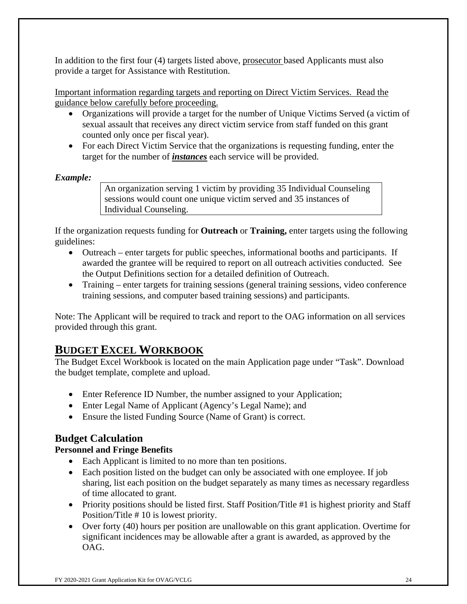In addition to the first four (4) targets listed above, prosecutor based Applicants must also provide a target for Assistance with Restitution.

Important information regarding targets and reporting on Direct Victim Services. Read the guidance below carefully before proceeding.

- Organizations will provide a target for the number of Unique Victims Served (a victim of sexual assault that receives any direct victim service from staff funded on this grant counted only once per fiscal year).
- For each Direct Victim Service that the organizations is requesting funding, enter the target for the number of *instances* each service will be provided.

## *Example:*

An organization serving 1 victim by providing 35 Individual Counseling sessions would count one unique victim served and 35 instances of Individual Counseling.

If the organization requests funding for **Outreach** or **Training,** enter targets using the following guidelines:

- Outreach enter targets for public speeches, informational booths and participants. If awarded the grantee will be required to report on all outreach activities conducted. See the Output Definitions section for a detailed definition of Outreach.
- Training enter targets for training sessions (general training sessions, video conference training sessions, and computer based training sessions) and participants.

Note: The Applicant will be required to track and report to the OAG information on all services provided through this grant.

## **BUDGET EXCEL WORKBOOK**

The Budget Excel Workbook is located on the main Application page under "Task". Download the budget template, complete and upload.

- Enter Reference ID Number, the number assigned to your Application;
- Enter Legal Name of Applicant (Agency's Legal Name); and
- Ensure the listed Funding Source (Name of Grant) is correct.

## **Budget Calculation**

## **Personnel and Fringe Benefits**

- Each Applicant is limited to no more than ten positions.
- Each position listed on the budget can only be associated with one employee. If job sharing, list each position on the budget separately as many times as necessary regardless of time allocated to grant.
- Priority positions should be listed first. Staff Position/Title #1 is highest priority and Staff Position/Title # 10 is lowest priority.
- Over forty (40) hours per position are unallowable on this grant application. Overtime for significant incidences may be allowable after a grant is awarded, as approved by the OAG.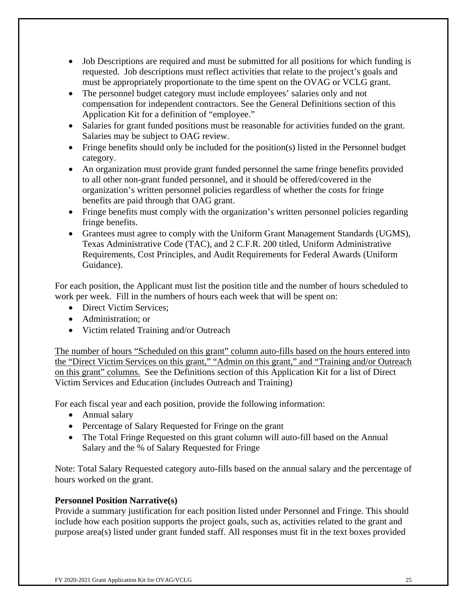- Job Descriptions are required and must be submitted for all positions for which funding is requested. Job descriptions must reflect activities that relate to the project's goals and must be appropriately proportionate to the time spent on the OVAG or VCLG grant.
- The personnel budget category must include employees' salaries only and not compensation for independent contractors. See the General Definitions section of this Application Kit for a definition of "employee."
- Salaries for grant funded positions must be reasonable for activities funded on the grant. Salaries may be subject to OAG review.
- Fringe benefits should only be included for the position(s) listed in the Personnel budget category.
- An organization must provide grant funded personnel the same fringe benefits provided to all other non-grant funded personnel, and it should be offered/covered in the organization's written personnel policies regardless of whether the costs for fringe benefits are paid through that OAG grant.
- Fringe benefits must comply with the organization's written personnel policies regarding fringe benefits.
- Grantees must agree to comply with the Uniform Grant Management Standards (UGMS), Texas Administrative Code (TAC), and 2 C.F.R. 200 titled, Uniform Administrative Requirements, Cost Principles, and Audit Requirements for Federal Awards (Uniform Guidance).

For each position, the Applicant must list the position title and the number of hours scheduled to work per week. Fill in the numbers of hours each week that will be spent on:

- Direct Victim Services:
- Administration: or
- Victim related Training and/or Outreach

The number of hours "Scheduled on this grant" column auto-fills based on the hours entered into the "Direct Victim Services on this grant," "Admin on this grant," and "Training and/or Outreach on this grant" columns. See the Definitions section of this Application Kit for a list of Direct Victim Services and Education (includes Outreach and Training)

For each fiscal year and each position, provide the following information:

- Annual salary
- Percentage of Salary Requested for Fringe on the grant
- The Total Fringe Requested on this grant column will auto-fill based on the Annual Salary and the % of Salary Requested for Fringe

Note: Total Salary Requested category auto-fills based on the annual salary and the percentage of hours worked on the grant.

## **Personnel Position Narrative(s)**

Provide a summary justification for each position listed under Personnel and Fringe. This should include how each position supports the project goals, such as, activities related to the grant and purpose area(s) listed under grant funded staff. All responses must fit in the text boxes provided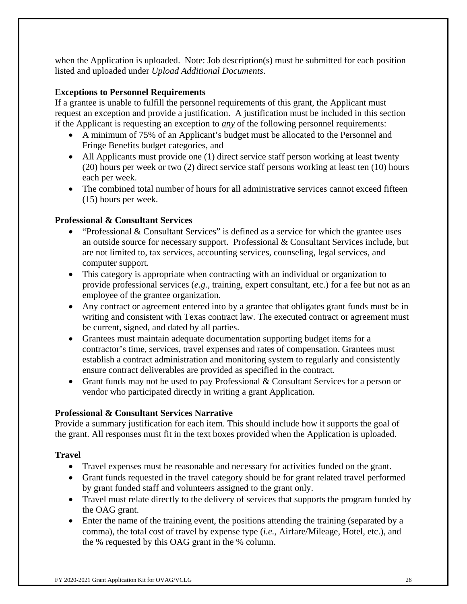when the Application is uploaded. Note: Job description(s) must be submitted for each position listed and uploaded under *Upload Additional Documents*.

## **Exceptions to Personnel Requirements**

If a grantee is unable to fulfill the personnel requirements of this grant, the Applicant must request an exception and provide a justification. A justification must be included in this section if the Applicant is requesting an exception to *any* of the following personnel requirements:

- A minimum of 75% of an Applicant's budget must be allocated to the Personnel and Fringe Benefits budget categories, and
- All Applicants must provide one (1) direct service staff person working at least twenty (20) hours per week or two (2) direct service staff persons working at least ten (10) hours each per week.
- The combined total number of hours for all administrative services cannot exceed fifteen (15) hours per week.

## **Professional & Consultant Services**

- "Professional & Consultant Services" is defined as a service for which the grantee uses an outside source for necessary support. Professional & Consultant Services include, but are not limited to, tax services, accounting services, counseling, legal services, and computer support.
- This category is appropriate when contracting with an individual or organization to provide professional services (*e.g.,* training, expert consultant, etc.) for a fee but not as an employee of the grantee organization.
- Any contract or agreement entered into by a grantee that obligates grant funds must be in writing and consistent with Texas contract law. The executed contract or agreement must be current, signed, and dated by all parties.
- Grantees must maintain adequate documentation supporting budget items for a contractor's time, services, travel expenses and rates of compensation. Grantees must establish a contract administration and monitoring system to regularly and consistently ensure contract deliverables are provided as specified in the contract.
- Grant funds may not be used to pay Professional & Consultant Services for a person or vendor who participated directly in writing a grant Application.

## **Professional & Consultant Services Narrative**

Provide a summary justification for each item. This should include how it supports the goal of the grant. All responses must fit in the text boxes provided when the Application is uploaded.

## **Travel**

- Travel expenses must be reasonable and necessary for activities funded on the grant.
- Grant funds requested in the travel category should be for grant related travel performed by grant funded staff and volunteers assigned to the grant only.
- Travel must relate directly to the delivery of services that supports the program funded by the OAG grant.
- Enter the name of the training event, the positions attending the training (separated by a comma), the total cost of travel by expense type (*i.e.,* Airfare/Mileage, Hotel, etc.), and the % requested by this OAG grant in the % column.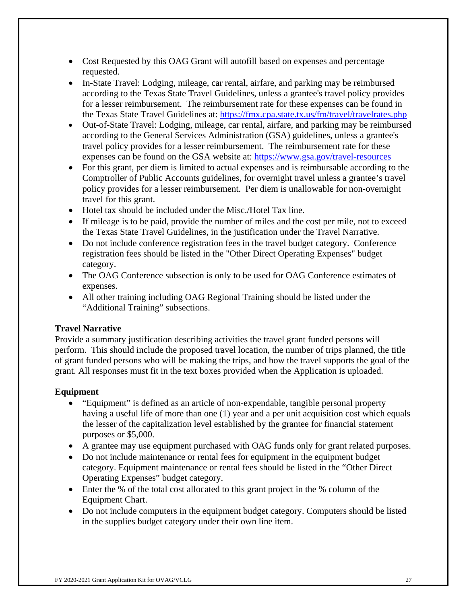- Cost Requested by this OAG Grant will autofill based on expenses and percentage requested.
- In-State Travel: Lodging, mileage, car rental, airfare, and parking may be reimbursed according to the Texas State Travel Guidelines, unless a grantee's travel policy provides for a lesser reimbursement. The reimbursement rate for these expenses can be found in the Texas State Travel Guidelines at: https://fmx.cpa.state.tx.us/fm/travel/travelrates.php
- Out-of-State Travel: Lodging, mileage, car rental, airfare, and parking may be reimbursed according to the General Services Administration (GSA) guidelines, unless a grantee's travel policy provides for a lesser reimbursement. The reimbursement rate for these expenses can be found on the GSA website at: https://www.gsa.gov/travel-resources
- For this grant, per diem is limited to actual expenses and is reimbursable according to the Comptroller of Public Accounts guidelines, for overnight travel unless a grantee's travel policy provides for a lesser reimbursement. Per diem is unallowable for non-overnight travel for this grant.
- Hotel tax should be included under the Misc./Hotel Tax line.
- If mileage is to be paid, provide the number of miles and the cost per mile, not to exceed the Texas State Travel Guidelines, in the justification under the Travel Narrative.
- Do not include conference registration fees in the travel budget category. Conference registration fees should be listed in the "Other Direct Operating Expenses" budget category.
- The OAG Conference subsection is only to be used for OAG Conference estimates of expenses.
- All other training including OAG Regional Training should be listed under the "Additional Training" subsections.

## **Travel Narrative**

Provide a summary justification describing activities the travel grant funded persons will perform. This should include the proposed travel location, the number of trips planned, the title of grant funded persons who will be making the trips, and how the travel supports the goal of the grant. All responses must fit in the text boxes provided when the Application is uploaded.

## **Equipment**

- "Equipment" is defined as an article of non-expendable, tangible personal property having a useful life of more than one (1) year and a per unit acquisition cost which equals the lesser of the capitalization level established by the grantee for financial statement purposes or \$5,000.
- A grantee may use equipment purchased with OAG funds only for grant related purposes.
- Do not include maintenance or rental fees for equipment in the equipment budget category. Equipment maintenance or rental fees should be listed in the "Other Direct Operating Expenses" budget category.
- Enter the % of the total cost allocated to this grant project in the % column of the Equipment Chart.
- Do not include computers in the equipment budget category. Computers should be listed in the supplies budget category under their own line item.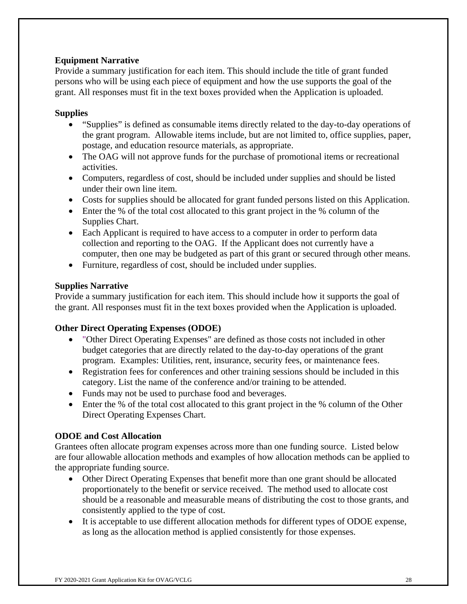## **Equipment Narrative**

Provide a summary justification for each item. This should include the title of grant funded persons who will be using each piece of equipment and how the use supports the goal of the grant. All responses must fit in the text boxes provided when the Application is uploaded.

## **Supplies**

- "Supplies" is defined as consumable items directly related to the day-to-day operations of the grant program. Allowable items include, but are not limited to, office supplies, paper, postage, and education resource materials, as appropriate.
- The OAG will not approve funds for the purchase of promotional items or recreational activities.
- Computers, regardless of cost, should be included under supplies and should be listed under their own line item.
- Costs for supplies should be allocated for grant funded persons listed on this Application.
- Enter the % of the total cost allocated to this grant project in the % column of the Supplies Chart.
- Each Applicant is required to have access to a computer in order to perform data collection and reporting to the OAG. If the Applicant does not currently have a computer, then one may be budgeted as part of this grant or secured through other means.
- Furniture, regardless of cost, should be included under supplies.

## **Supplies Narrative**

Provide a summary justification for each item. This should include how it supports the goal of the grant. All responses must fit in the text boxes provided when the Application is uploaded.

## **Other Direct Operating Expenses (ODOE)**

- "Other Direct Operating Expenses" are defined as those costs not included in other budget categories that are directly related to the day-to-day operations of the grant program. Examples: Utilities, rent, insurance, security fees, or maintenance fees.
- Registration fees for conferences and other training sessions should be included in this category. List the name of the conference and/or training to be attended.
- Funds may not be used to purchase food and beverages.
- Enter the % of the total cost allocated to this grant project in the % column of the Other Direct Operating Expenses Chart.

## **ODOE and Cost Allocation**

Grantees often allocate program expenses across more than one funding source. Listed below are four allowable allocation methods and examples of how allocation methods can be applied to the appropriate funding source.

- Other Direct Operating Expenses that benefit more than one grant should be allocated proportionately to the benefit or service received. The method used to allocate cost should be a reasonable and measurable means of distributing the cost to those grants, and consistently applied to the type of cost.
- It is acceptable to use different allocation methods for different types of ODOE expense, as long as the allocation method is applied consistently for those expenses.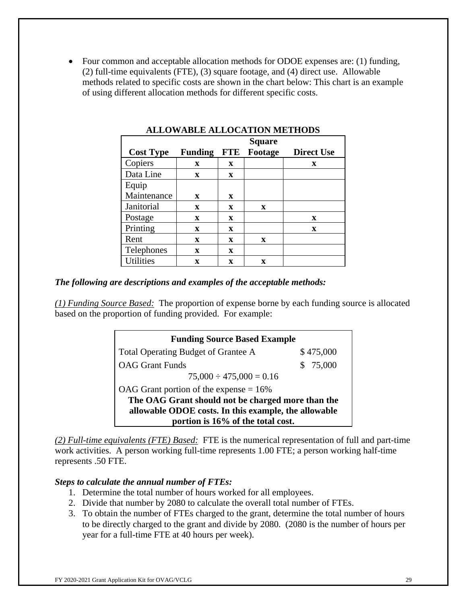• Four common and acceptable allocation methods for ODOE expenses are: (1) funding, (2) full-time equivalents (FTE), (3) square footage, and (4) direct use. Allowable methods related to specific costs are shown in the chart below: This chart is an example of using different allocation methods for different specific costs.

|                  |                |             | <b>Square</b> |                   |
|------------------|----------------|-------------|---------------|-------------------|
| <b>Cost Type</b> | <b>Funding</b> | <b>FTE</b>  | Footage       | <b>Direct Use</b> |
| Copiers          | X              | X           |               | X                 |
| Data Line        | X              | X           |               |                   |
| Equip            |                |             |               |                   |
| Maintenance      | X              | X           |               |                   |
| Janitorial       | $\mathbf x$    | $\mathbf x$ | X             |                   |
| Postage          | $\mathbf x$    | X           |               | X                 |
| Printing         | $\mathbf x$    | X           |               | X                 |
| Rent             | X              | X           | $\mathbf{x}$  |                   |
| Telephones       | $\mathbf x$    | X           |               |                   |
| <b>Utilities</b> | X              | X           | X             |                   |

**ALLOWABLE ALLOCATION METHODS** 

### *The following are descriptions and examples of the acceptable methods:*

*(1) Funding Source Based:* The proportion of expense borne by each funding source is allocated based on the proportion of funding provided. For example:

| <b>Funding Source Based Example</b>                  |           |
|------------------------------------------------------|-----------|
| <b>Total Operating Budget of Grantee A</b>           | \$475,000 |
| <b>OAG</b> Grant Funds                               | \$75,000  |
| $75,000 \div 475,000 = 0.16$                         |           |
| OAG Grant portion of the expense $= 16\%$            |           |
| The OAG Grant should not be charged more than the    |           |
| allowable ODOE costs. In this example, the allowable |           |
| portion is 16% of the total cost.                    |           |

*(2) Full-time equivalents (FTE) Based:* FTE is the numerical representation of full and part-time work activities. A person working full-time represents 1.00 FTE; a person working half-time represents .50 FTE.

### *Steps to calculate the annual number of FTEs:*

- 1. Determine the total number of hours worked for all employees.
- 2. Divide that number by 2080 to calculate the overall total number of FTEs.
- 3. To obtain the number of FTEs charged to the grant, determine the total number of hours to be directly charged to the grant and divide by 2080. (2080 is the number of hours per year for a full-time FTE at 40 hours per week).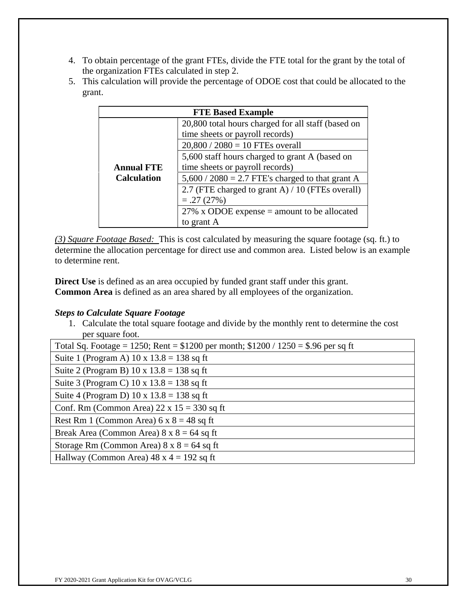- 4. To obtain percentage of the grant FTEs, divide the FTE total for the grant by the total of the organization FTEs calculated in step 2.
- 5. This calculation will provide the percentage of ODOE cost that could be allocated to the grant.

|                    | <b>FTE Based Example</b>                           |
|--------------------|----------------------------------------------------|
|                    | 20,800 total hours charged for all staff (based on |
|                    | time sheets or payroll records)                    |
|                    | $20,800 / 2080 = 10$ FTEs overall                  |
|                    | 5,600 staff hours charged to grant A (based on     |
| <b>Annual FTE</b>  | time sheets or payroll records)                    |
| <b>Calculation</b> | $5,600 / 2080 = 2.7$ FTE's charged to that grant A |
|                    | 2.7 (FTE charged to grant A) / 10 (FTEs overall)   |
|                    | $=.27(27%)$                                        |
|                    | 27% x ODOE expense $=$ amount to be allocated      |
|                    | to grant A                                         |

*(3) Square Footage Based:* This is cost calculated by measuring the square footage (sq. ft.) to determine the allocation percentage for direct use and common area. Listed below is an example to determine rent.

**Direct Use** is defined as an area occupied by funded grant staff under this grant. **Common Area** is defined as an area shared by all employees of the organization.

## *Steps to Calculate Square Footage*

1. Calculate the total square footage and divide by the monthly rent to determine the cost per square foot.

| Total Sq. Footage = 1250; Rent = $$1200$ per month; $$1200 / 1250 = $.96$ per sq ft |
|-------------------------------------------------------------------------------------|
| Suite 1 (Program A) $10 \times 13.8 = 138$ sq ft                                    |
| Suite 2 (Program B) $10 \times 13.8 = 138$ sq ft                                    |
| Suite 3 (Program C) $10 \times 13.8 = 138$ sq ft                                    |
| Suite 4 (Program D) 10 x $13.8 = 138$ sq ft                                         |
| Conf. Rm (Common Area) $22 \times 15 = 330$ sq ft                                   |
| Rest Rm 1 (Common Area) $6 \times 8 = 48$ sq ft                                     |
| Break Area (Common Area) $8 \times 8 = 64$ sq ft                                    |
| Storage Rm (Common Area) $8 \times 8 = 64$ sq ft                                    |
| Hallway (Common Area) $48 \times 4 = 192$ sq ft                                     |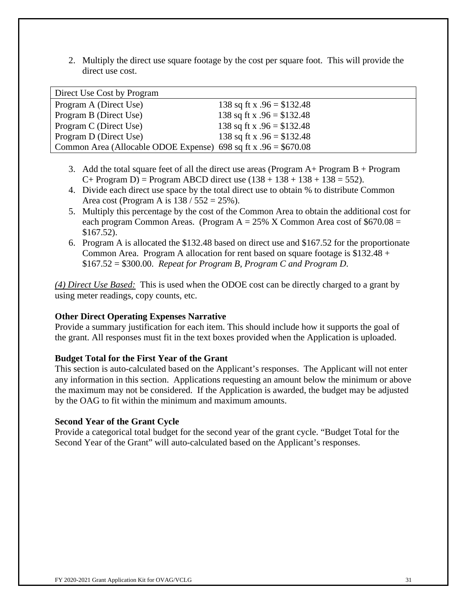2. Multiply the direct use square footage by the cost per square foot. This will provide the direct use cost.

| Direct Use Cost by Program                                       |                             |
|------------------------------------------------------------------|-----------------------------|
| Program A (Direct Use)                                           | 138 sq ft x $.96 = $132.48$ |
| Program B (Direct Use)                                           | 138 sq ft x $.96 = $132.48$ |
| Program C (Direct Use)                                           | 138 sq ft x $.96 = $132.48$ |
| Program D (Direct Use)                                           | 138 sq ft x $.96 = $132.48$ |
| Common Area (Allocable ODOE Expense) 698 sq ft x $.96 = $670.08$ |                             |

- 3. Add the total square feet of all the direct use areas (Program  $A+$  Program  $B+$  Program  $C+$  Program D) = Program ABCD direct use  $(138 + 138 + 138 + 138 = 552)$ .
- 4. Divide each direct use space by the total direct use to obtain % to distribute Common Area cost (Program A is  $138 / 552 = 25\%$ ).
- 5. Multiply this percentage by the cost of the Common Area to obtain the additional cost for each program Common Areas. (Program  $A = 25\%$  X Common Area cost of \$670.08 = \$167.52).
- 6. Program A is allocated the \$132.48 based on direct use and \$167.52 for the proportionate Common Area. Program A allocation for rent based on square footage is  $$132.48 +$ \$167.52 = \$300.00. *Repeat for Program B, Program C and Program D*.

*(4) Direct Use Based:* This is used when the ODOE cost can be directly charged to a grant by using meter readings, copy counts, etc.

## **Other Direct Operating Expenses Narrative**

Provide a summary justification for each item. This should include how it supports the goal of the grant. All responses must fit in the text boxes provided when the Application is uploaded.

## **Budget Total for the First Year of the Grant**

This section is auto-calculated based on the Applicant's responses. The Applicant will not enter any information in this section. Applications requesting an amount below the minimum or above the maximum may not be considered. If the Application is awarded, the budget may be adjusted by the OAG to fit within the minimum and maximum amounts.

## **Second Year of the Grant Cycle**

Provide a categorical total budget for the second year of the grant cycle. "Budget Total for the Second Year of the Grant" will auto-calculated based on the Applicant's responses.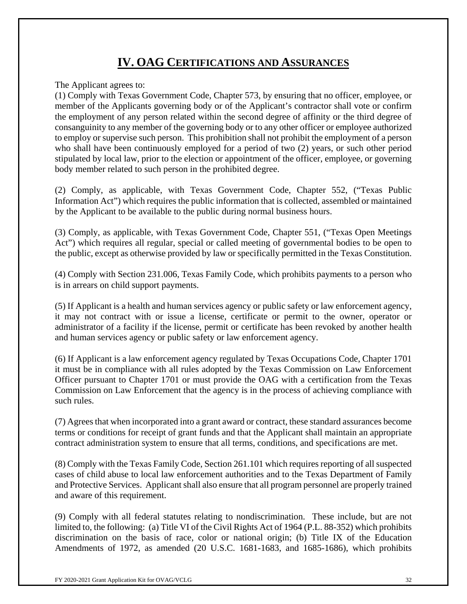# **IV. OAG CERTIFICATIONS AND ASSURANCES**

The Applicant agrees to:

(1) Comply with Texas Government Code, Chapter 573, by ensuring that no officer, employee, or member of the Applicants governing body or of the Applicant's contractor shall vote or confirm the employment of any person related within the second degree of affinity or the third degree of consanguinity to any member of the governing body or to any other officer or employee authorized to employ or supervise such person. This prohibition shall not prohibit the employment of a person who shall have been continuously employed for a period of two (2) years, or such other period stipulated by local law, prior to the election or appointment of the officer, employee, or governing body member related to such person in the prohibited degree.

(2) Comply, as applicable, with Texas Government Code, Chapter 552, ("Texas Public Information Act") which requires the public information that is collected, assembled or maintained by the Applicant to be available to the public during normal business hours.

(3) Comply, as applicable, with Texas Government Code, Chapter 551, ("Texas Open Meetings Act") which requires all regular, special or called meeting of governmental bodies to be open to the public, except as otherwise provided by law or specifically permitted in the Texas Constitution.

(4) Comply with Section 231.006, Texas Family Code, which prohibits payments to a person who is in arrears on child support payments.

(5) If Applicant is a health and human services agency or public safety or law enforcement agency, it may not contract with or issue a license, certificate or permit to the owner, operator or administrator of a facility if the license, permit or certificate has been revoked by another health and human services agency or public safety or law enforcement agency.

(6) If Applicant is a law enforcement agency regulated by Texas Occupations Code, Chapter 1701 it must be in compliance with all rules adopted by the Texas Commission on Law Enforcement Officer pursuant to Chapter 1701 or must provide the OAG with a certification from the Texas Commission on Law Enforcement that the agency is in the process of achieving compliance with such rules.

(7) Agrees that when incorporated into a grant award or contract, these standard assurances become terms or conditions for receipt of grant funds and that the Applicant shall maintain an appropriate contract administration system to ensure that all terms, conditions, and specifications are met.

(8) Comply with the Texas Family Code, Section 261.101 which requires reporting of all suspected cases of child abuse to local law enforcement authorities and to the Texas Department of Family and Protective Services. Applicant shall also ensure that all program personnel are properly trained and aware of this requirement.

(9) Comply with all federal statutes relating to nondiscrimination. These include, but are not limited to, the following: (a) Title VI of the Civil Rights Act of 1964 (P.L. 88-352) which prohibits discrimination on the basis of race, color or national origin; (b) Title IX of the Education Amendments of 1972, as amended (20 U.S.C. 1681-1683, and 1685-1686), which prohibits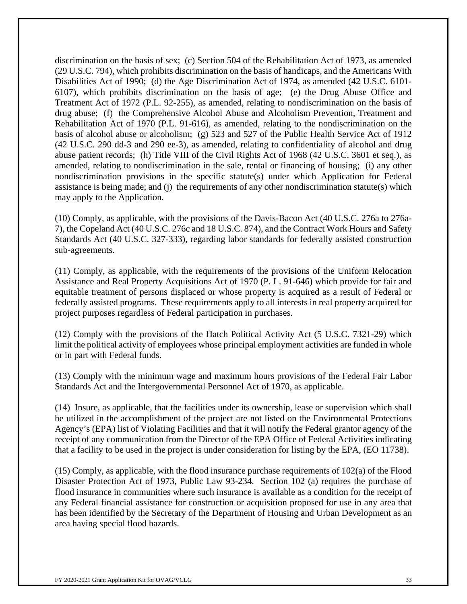discrimination on the basis of sex; (c) Section 504 of the Rehabilitation Act of 1973, as amended (29 U.S.C. 794), which prohibits discrimination on the basis of handicaps, and the Americans With Disabilities Act of 1990; (d) the Age Discrimination Act of 1974, as amended (42 U.S.C. 6101- 6107), which prohibits discrimination on the basis of age; (e) the Drug Abuse Office and Treatment Act of 1972 (P.L. 92-255), as amended, relating to nondiscrimination on the basis of drug abuse; (f) the Comprehensive Alcohol Abuse and Alcoholism Prevention, Treatment and Rehabilitation Act of 1970 (P.L. 91-616), as amended, relating to the nondiscrimination on the basis of alcohol abuse or alcoholism; (g) 523 and 527 of the Public Health Service Act of 1912 (42 U.S.C. 290 dd-3 and 290 ee-3), as amended, relating to confidentiality of alcohol and drug abuse patient records; (h) Title VIII of the Civil Rights Act of 1968 (42 U.S.C. 3601 et seq.), as amended, relating to nondiscrimination in the sale, rental or financing of housing; (i) any other nondiscrimination provisions in the specific statute(s) under which Application for Federal assistance is being made; and (j) the requirements of any other nondiscrimination statute(s) which may apply to the Application.

(10) Comply, as applicable, with the provisions of the Davis-Bacon Act (40 U.S.C. 276a to 276a-7), the Copeland Act (40 U.S.C. 276c and 18 U.S.C. 874), and the Contract Work Hours and Safety Standards Act (40 U.S.C. 327-333), regarding labor standards for federally assisted construction sub-agreements.

(11) Comply, as applicable, with the requirements of the provisions of the Uniform Relocation Assistance and Real Property Acquisitions Act of 1970 (P. L. 91-646) which provide for fair and equitable treatment of persons displaced or whose property is acquired as a result of Federal or federally assisted programs. These requirements apply to all interests in real property acquired for project purposes regardless of Federal participation in purchases.

(12) Comply with the provisions of the Hatch Political Activity Act (5 U.S.C. 7321-29) which limit the political activity of employees whose principal employment activities are funded in whole or in part with Federal funds.

(13) Comply with the minimum wage and maximum hours provisions of the Federal Fair Labor Standards Act and the Intergovernmental Personnel Act of 1970, as applicable.

(14) Insure, as applicable, that the facilities under its ownership, lease or supervision which shall be utilized in the accomplishment of the project are not listed on the Environmental Protections Agency's (EPA) list of Violating Facilities and that it will notify the Federal grantor agency of the receipt of any communication from the Director of the EPA Office of Federal Activities indicating that a facility to be used in the project is under consideration for listing by the EPA, (EO 11738).

(15) Comply, as applicable, with the flood insurance purchase requirements of 102(a) of the Flood Disaster Protection Act of 1973, Public Law 93-234. Section 102 (a) requires the purchase of flood insurance in communities where such insurance is available as a condition for the receipt of any Federal financial assistance for construction or acquisition proposed for use in any area that has been identified by the Secretary of the Department of Housing and Urban Development as an area having special flood hazards.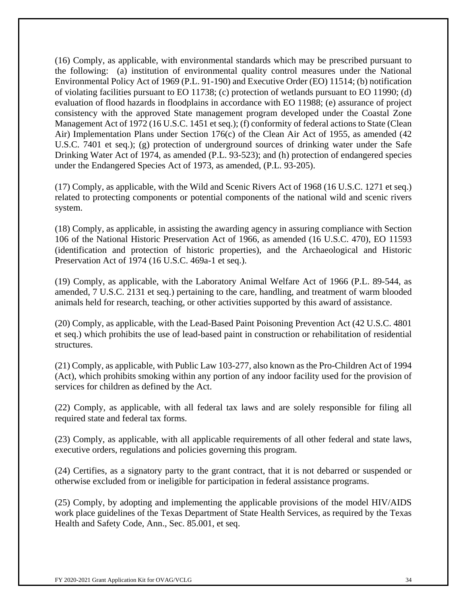(16) Comply, as applicable, with environmental standards which may be prescribed pursuant to the following: (a) institution of environmental quality control measures under the National Environmental Policy Act of 1969 (P.L. 91-190) and Executive Order (EO) 11514; (b) notification of violating facilities pursuant to EO 11738; (c) protection of wetlands pursuant to EO 11990; (d) evaluation of flood hazards in floodplains in accordance with EO 11988; (e) assurance of project consistency with the approved State management program developed under the Coastal Zone Management Act of 1972 (16 U.S.C. 1451 et seq.); (f) conformity of federal actions to State (Clean Air) Implementation Plans under Section 176(c) of the Clean Air Act of 1955, as amended (42 U.S.C. 7401 et seq.); (g) protection of underground sources of drinking water under the Safe Drinking Water Act of 1974, as amended (P.L. 93-523); and (h) protection of endangered species under the Endangered Species Act of 1973, as amended, (P.L. 93-205).

(17) Comply, as applicable, with the Wild and Scenic Rivers Act of 1968 (16 U.S.C. 1271 et seq.) related to protecting components or potential components of the national wild and scenic rivers system.

(18) Comply, as applicable, in assisting the awarding agency in assuring compliance with Section 106 of the National Historic Preservation Act of 1966, as amended (16 U.S.C. 470), EO 11593 (identification and protection of historic properties), and the Archaeological and Historic Preservation Act of 1974 (16 U.S.C. 469a-1 et seq.).

(19) Comply, as applicable, with the Laboratory Animal Welfare Act of 1966 (P.L. 89-544, as amended, 7 U.S.C. 2131 et seq.) pertaining to the care, handling, and treatment of warm blooded animals held for research, teaching, or other activities supported by this award of assistance.

(20) Comply, as applicable, with the Lead-Based Paint Poisoning Prevention Act (42 U.S.C. 4801 et seq.) which prohibits the use of lead-based paint in construction or rehabilitation of residential structures.

(21) Comply, as applicable, with Public Law 103-277, also known as the Pro-Children Act of 1994 (Act), which prohibits smoking within any portion of any indoor facility used for the provision of services for children as defined by the Act.

(22) Comply, as applicable, with all federal tax laws and are solely responsible for filing all required state and federal tax forms.

(23) Comply, as applicable, with all applicable requirements of all other federal and state laws, executive orders, regulations and policies governing this program.

(24) Certifies, as a signatory party to the grant contract, that it is not debarred or suspended or otherwise excluded from or ineligible for participation in federal assistance programs.

(25) Comply, by adopting and implementing the applicable provisions of the model HIV/AIDS work place guidelines of the Texas Department of State Health Services, as required by the Texas Health and Safety Code, Ann., Sec. 85.001, et seq.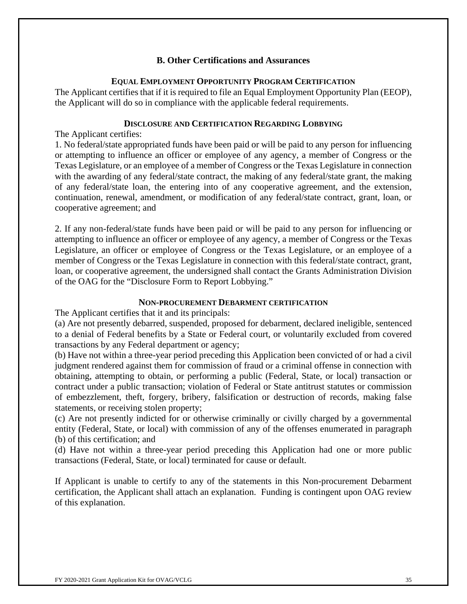### **B. Other Certifications and Assurances**

### **EQUAL EMPLOYMENT OPPORTUNITY PROGRAM CERTIFICATION**

The Applicant certifies that if it is required to file an Equal Employment Opportunity Plan (EEOP), the Applicant will do so in compliance with the applicable federal requirements.

### **DISCLOSURE AND CERTIFICATION REGARDING LOBBYING**

The Applicant certifies:

1. No federal/state appropriated funds have been paid or will be paid to any person for influencing or attempting to influence an officer or employee of any agency, a member of Congress or the Texas Legislature, or an employee of a member of Congress or the Texas Legislature in connection with the awarding of any federal/state contract, the making of any federal/state grant, the making of any federal/state loan, the entering into of any cooperative agreement, and the extension, continuation, renewal, amendment, or modification of any federal/state contract, grant, loan, or cooperative agreement; and

2. If any non-federal/state funds have been paid or will be paid to any person for influencing or attempting to influence an officer or employee of any agency, a member of Congress or the Texas Legislature, an officer or employee of Congress or the Texas Legislature, or an employee of a member of Congress or the Texas Legislature in connection with this federal/state contract, grant, loan, or cooperative agreement, the undersigned shall contact the Grants Administration Division of the OAG for the "Disclosure Form to Report Lobbying."

### **NON-PROCUREMENT DEBARMENT CERTIFICATION**

The Applicant certifies that it and its principals:

(a) Are not presently debarred, suspended, proposed for debarment, declared ineligible, sentenced to a denial of Federal benefits by a State or Federal court, or voluntarily excluded from covered transactions by any Federal department or agency;

(b) Have not within a three-year period preceding this Application been convicted of or had a civil judgment rendered against them for commission of fraud or a criminal offense in connection with obtaining, attempting to obtain, or performing a public (Federal, State, or local) transaction or contract under a public transaction; violation of Federal or State antitrust statutes or commission of embezzlement, theft, forgery, bribery, falsification or destruction of records, making false statements, or receiving stolen property;

(c) Are not presently indicted for or otherwise criminally or civilly charged by a governmental entity (Federal, State, or local) with commission of any of the offenses enumerated in paragraph (b) of this certification; and

(d) Have not within a three-year period preceding this Application had one or more public transactions (Federal, State, or local) terminated for cause or default.

If Applicant is unable to certify to any of the statements in this Non-procurement Debarment certification, the Applicant shall attach an explanation. Funding is contingent upon OAG review of this explanation.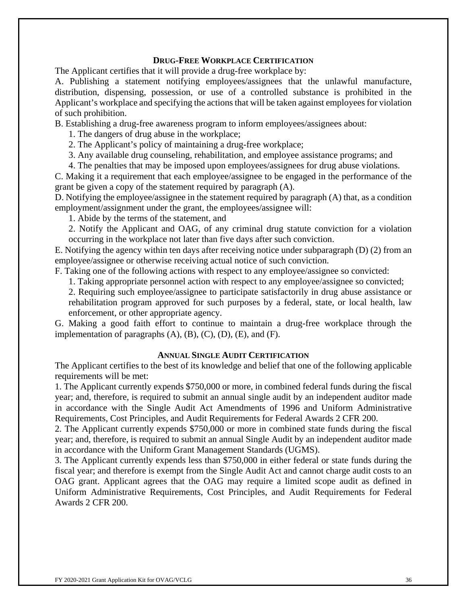### **DRUG-FREE WORKPLACE CERTIFICATION**

The Applicant certifies that it will provide a drug-free workplace by:

A. Publishing a statement notifying employees/assignees that the unlawful manufacture, distribution, dispensing, possession, or use of a controlled substance is prohibited in the Applicant's workplace and specifying the actions that will be taken against employees for violation of such prohibition.

B. Establishing a drug-free awareness program to inform employees/assignees about:

1. The dangers of drug abuse in the workplace;

2. The Applicant's policy of maintaining a drug-free workplace;

3. Any available drug counseling, rehabilitation, and employee assistance programs; and

4. The penalties that may be imposed upon employees/assignees for drug abuse violations.

C. Making it a requirement that each employee/assignee to be engaged in the performance of the grant be given a copy of the statement required by paragraph (A).

D. Notifying the employee/assignee in the statement required by paragraph (A) that, as a condition employment/assignment under the grant, the employees/assignee will:

1. Abide by the terms of the statement, and

2. Notify the Applicant and OAG, of any criminal drug statute conviction for a violation occurring in the workplace not later than five days after such conviction.

E. Notifying the agency within ten days after receiving notice under subparagraph (D) (2) from an employee/assignee or otherwise receiving actual notice of such conviction.

F. Taking one of the following actions with respect to any employee/assignee so convicted:

1. Taking appropriate personnel action with respect to any employee/assignee so convicted;

2. Requiring such employee/assignee to participate satisfactorily in drug abuse assistance or rehabilitation program approved for such purposes by a federal, state, or local health, law enforcement, or other appropriate agency.

G. Making a good faith effort to continue to maintain a drug-free workplace through the implementation of paragraphs  $(A)$ ,  $(B)$ ,  $(C)$ ,  $(D)$ ,  $(E)$ , and  $(F)$ .

#### **ANNUAL SINGLE AUDIT CERTIFICATION**

The Applicant certifies to the best of its knowledge and belief that one of the following applicable requirements will be met:

1. The Applicant currently expends \$750,000 or more, in combined federal funds during the fiscal year; and, therefore, is required to submit an annual single audit by an independent auditor made in accordance with the Single Audit Act Amendments of 1996 and Uniform Administrative Requirements, Cost Principles, and Audit Requirements for Federal Awards 2 CFR 200.

2. The Applicant currently expends \$750,000 or more in combined state funds during the fiscal year; and, therefore, is required to submit an annual Single Audit by an independent auditor made in accordance with the Uniform Grant Management Standards (UGMS).

3. The Applicant currently expends less than \$750,000 in either federal or state funds during the fiscal year; and therefore is exempt from the Single Audit Act and cannot charge audit costs to an OAG grant. Applicant agrees that the OAG may require a limited scope audit as defined in Uniform Administrative Requirements, Cost Principles, and Audit Requirements for Federal Awards 2 CFR 200.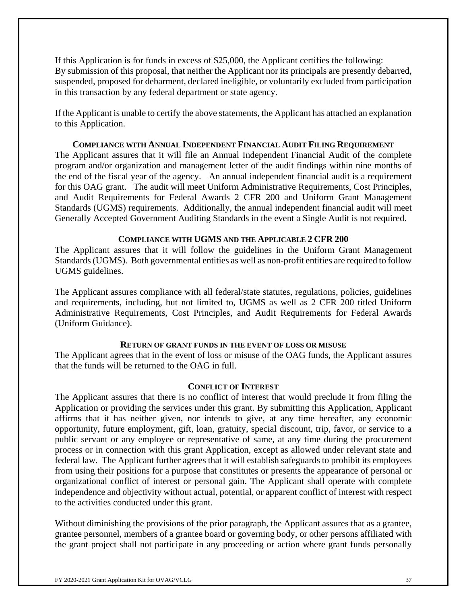If this Application is for funds in excess of \$25,000, the Applicant certifies the following: By submission of this proposal, that neither the Applicant nor its principals are presently debarred, suspended, proposed for debarment, declared ineligible, or voluntarily excluded from participation in this transaction by any federal department or state agency.

If the Applicant is unable to certify the above statements, the Applicant has attached an explanation to this Application.

#### **COMPLIANCE WITH ANNUAL INDEPENDENT FINANCIAL AUDIT FILING REQUIREMENT**

The Applicant assures that it will file an Annual Independent Financial Audit of the complete program and/or organization and management letter of the audit findings within nine months of the end of the fiscal year of the agency. An annual independent financial audit is a requirement for this OAG grant. The audit will meet Uniform Administrative Requirements, Cost Principles, and Audit Requirements for Federal Awards 2 CFR 200 and Uniform Grant Management Standards (UGMS) requirements. Additionally, the annual independent financial audit will meet Generally Accepted Government Auditing Standards in the event a Single Audit is not required.

### **COMPLIANCE WITH UGMS AND THE APPLICABLE 2 CFR 200**

The Applicant assures that it will follow the guidelines in the Uniform Grant Management Standards (UGMS). Both governmental entities as well as non-profit entities are required to follow UGMS guidelines.

The Applicant assures compliance with all federal/state statutes, regulations, policies, guidelines and requirements, including, but not limited to, UGMS as well as 2 CFR 200 titled Uniform Administrative Requirements, Cost Principles, and Audit Requirements for Federal Awards (Uniform Guidance).

### **RETURN OF GRANT FUNDS IN THE EVENT OF LOSS OR MISUSE**

The Applicant agrees that in the event of loss or misuse of the OAG funds, the Applicant assures that the funds will be returned to the OAG in full.

#### **CONFLICT OF INTEREST**

The Applicant assures that there is no conflict of interest that would preclude it from filing the Application or providing the services under this grant. By submitting this Application, Applicant affirms that it has neither given, nor intends to give, at any time hereafter, any economic opportunity, future employment, gift, loan, gratuity, special discount, trip, favor, or service to a public servant or any employee or representative of same, at any time during the procurement process or in connection with this grant Application, except as allowed under relevant state and federal law. The Applicant further agrees that it will establish safeguards to prohibit its employees from using their positions for a purpose that constitutes or presents the appearance of personal or organizational conflict of interest or personal gain. The Applicant shall operate with complete independence and objectivity without actual, potential, or apparent conflict of interest with respect to the activities conducted under this grant.

Without diminishing the provisions of the prior paragraph, the Applicant assures that as a grantee, grantee personnel, members of a grantee board or governing body, or other persons affiliated with the grant project shall not participate in any proceeding or action where grant funds personally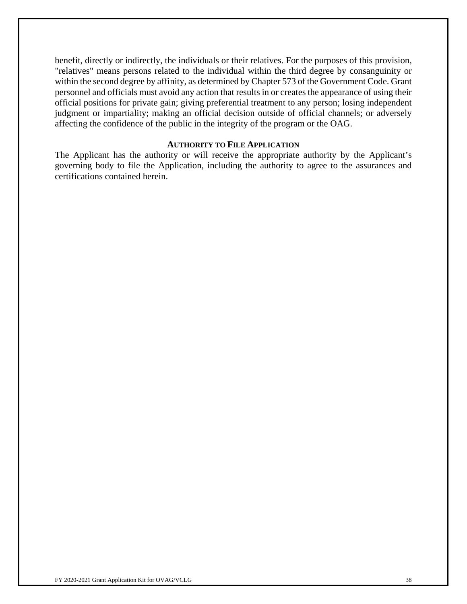benefit, directly or indirectly, the individuals or their relatives. For the purposes of this provision, "relatives" means persons related to the individual within the third degree by consanguinity or within the second degree by affinity, as determined by Chapter 573 of the Government Code. Grant personnel and officials must avoid any action that results in or creates the appearance of using their official positions for private gain; giving preferential treatment to any person; losing independent judgment or impartiality; making an official decision outside of official channels; or adversely affecting the confidence of the public in the integrity of the program or the OAG.

#### **AUTHORITY TO FILE APPLICATION**

The Applicant has the authority or will receive the appropriate authority by the Applicant's governing body to file the Application, including the authority to agree to the assurances and certifications contained herein.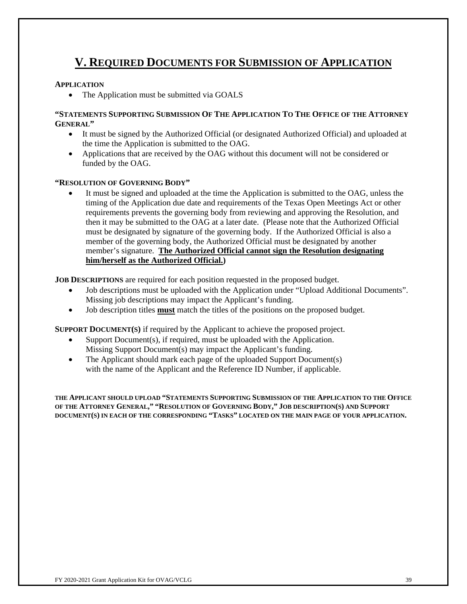# **V. REQUIRED DOCUMENTS FOR SUBMISSION OF APPLICATION**

#### **APPLICATION**

• The Application must be submitted via GOALS

#### **"STATEMENTS SUPPORTING SUBMISSION OF THE APPLICATION TO THE OFFICE OF THE ATTORNEY GENERAL"**

- It must be signed by the Authorized Official (or designated Authorized Official) and uploaded at the time the Application is submitted to the OAG.
- Applications that are received by the OAG without this document will not be considered or funded by the OAG.

#### **"RESOLUTION OF GOVERNING BODY"**

 It must be signed and uploaded at the time the Application is submitted to the OAG, unless the timing of the Application due date and requirements of the Texas Open Meetings Act or other requirements prevents the governing body from reviewing and approving the Resolution, and then it may be submitted to the OAG at a later date. (Please note that the Authorized Official must be designated by signature of the governing body. If the Authorized Official is also a member of the governing body, the Authorized Official must be designated by another member's signature. **The Authorized Official cannot sign the Resolution designating him/herself as the Authorized Official.)**

**JOB DESCRIPTIONS** are required for each position requested in the proposed budget.

- Job descriptions must be uploaded with the Application under "Upload Additional Documents". Missing job descriptions may impact the Applicant's funding.
- Job description titles **must** match the titles of the positions on the proposed budget.

**SUPPORT DOCUMENT(S)** if required by the Applicant to achieve the proposed project.

- $\bullet$  Support Document(s), if required, must be uploaded with the Application. Missing Support Document(s) may impact the Applicant's funding.
- The Applicant should mark each page of the uploaded Support Document(s) with the name of the Applicant and the Reference ID Number, if applicable.

**THE APPLICANT SHOULD UPLOAD "STATEMENTS SUPPORTING SUBMISSION OF THE APPLICATION TO THE OFFICE OF THE ATTORNEY GENERAL," "RESOLUTION OF GOVERNING BODY," JOB DESCRIPTION(S) AND SUPPORT DOCUMENT(S) IN EACH OF THE CORRESPONDING "TASKS" LOCATED ON THE MAIN PAGE OF YOUR APPLICATION.**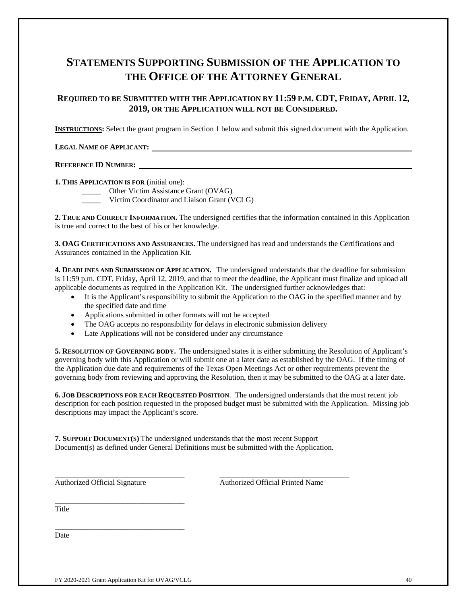## **STATEMENTS SUPPORTING SUBMISSION OF THE APPLICATION TO THE OFFICE OF THE ATTORNEY GENERAL**

### **REQUIRED TO BE SUBMITTED WITH THE APPLICATION BY 11:59 P.M. CDT, FRIDAY, APRIL 12, 2019, OR THE APPLICATION WILL NOT BE CONSIDERED.**

**INSTRUCTIONS:** Select the grant program in Section 1 below and submit this signed document with the Application.

#### **LEGAL NAME OF APPLICANT:**

#### **REFERENCE ID NUMBER:**

**1. THIS APPLICATION IS FOR** (initial one):

\_\_\_\_\_ Other Victim Assistance Grant (OVAG)

Victim Coordinator and Liaison Grant (VCLG)

**2. TRUE AND CORRECT INFORMATION.** The undersigned certifies that the information contained in this Application is true and correct to the best of his or her knowledge.

**3. OAG CERTIFICATIONS AND ASSURANCES.** The undersigned has read and understands the Certifications and Assurances contained in the Application Kit.

**4. DEADLINES AND SUBMISSION OF APPLICATION.** The undersigned understands that the deadline for submission is 11:59 p.m. CDT, Friday, April 12, 2019, and that to meet the deadline, the Applicant must finalize and upload all applicable documents as required in the Application Kit. The undersigned further acknowledges that:

- It is the Applicant's responsibility to submit the Application to the OAG in the specified manner and by the specified date and time
- Applications submitted in other formats will not be accepted
- The OAG accepts no responsibility for delays in electronic submission delivery
- Late Applications will not be considered under any circumstance

**5. RESOLUTION OF GOVERNING BODY.** The undersigned states it is either submitting the Resolution of Applicant's governing body with this Application or will submit one at a later date as established by the OAG. If the timing of the Application due date and requirements of the Texas Open Meetings Act or other requirements prevent the governing body from reviewing and approving the Resolution, then it may be submitted to the OAG at a later date.

**6. JOB DESCRIPTIONS FOR EACH REQUESTED POSITION**. The undersigned understands that the most recent job description for each position requested in the proposed budget must be submitted with the Application. Missing job descriptions may impact the Applicant's score.

**7. SUPPORT DOCUMENT(S)** The undersigned understands that the most recent Support Document(s) as defined under General Definitions must be submitted with the Application.

\_\_\_\_\_\_\_\_\_\_\_\_\_\_\_\_\_\_\_\_\_\_\_\_\_\_\_\_\_\_\_\_\_\_ \_\_\_\_\_\_\_\_\_\_\_\_\_\_\_\_\_\_\_\_\_\_\_\_\_\_\_\_\_\_\_\_\_\_

Authorized Official Signature Authorized Official Printed Name

Title

Date

\_\_\_\_\_\_\_\_\_\_\_\_\_\_\_\_\_\_\_\_\_\_\_\_\_\_\_\_\_\_\_\_\_\_

\_\_\_\_\_\_\_\_\_\_\_\_\_\_\_\_\_\_\_\_\_\_\_\_\_\_\_\_\_\_\_\_\_\_